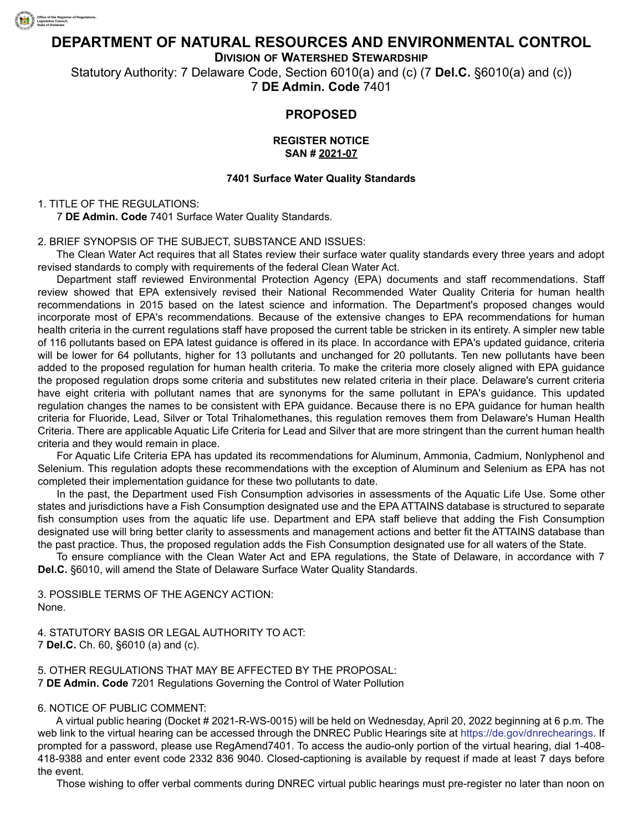

# **DEPARTMENT OF NATURAL RESOURCES AND ENVIRONMENTAL CONTROL**

**DIVISION OF WATERSHED STEWARDSHIP**

Statutory Authority: 7 Delaware Code, Section 6010(a) and (c) (7 **Del.C.** §6010(a) and (c)) 7 **DE Admin. Code** 7401

# **PROPOSED**

#### **REGISTER NOTICE SAN # 2021-07**

#### **7401 Surface Water Quality Standards**

## 1. TITLE OF THE REGULATIONS:

7 **DE Admin. Code** 7401 Surface Water Quality Standards.

#### 2. BRIEF SYNOPSIS OF THE SUBJECT, SUBSTANCE AND ISSUES:

The Clean Water Act requires that all States review their surface water quality standards every three years and adopt revised standards to comply with requirements of the federal Clean Water Act.

Department staff reviewed Environmental Protection Agency (EPA) documents and staff recommendations. Staff review showed that EPA extensively revised their National Recommended Water Quality Criteria for human health recommendations in 2015 based on the latest science and information. The Department's proposed changes would incorporate most of EPA's recommendations. Because of the extensive changes to EPA recommendations for human health criteria in the current regulations staff have proposed the current table be stricken in its entirety. A simpler new table of 116 pollutants based on EPA latest guidance is offered in its place. In accordance with EPA's updated guidance, criteria will be lower for 64 pollutants, higher for 13 pollutants and unchanged for 20 pollutants. Ten new pollutants have been added to the proposed regulation for human health criteria. To make the criteria more closely aligned with EPA guidance the proposed regulation drops some criteria and substitutes new related criteria in their place. Delaware's current criteria have eight criteria with pollutant names that are synonyms for the same pollutant in EPA's guidance. This updated regulation changes the names to be consistent with EPA guidance. Because there is no EPA guidance for human health criteria for Fluoride, Lead, Silver or Total Trihalomethanes, this regulation removes them from Delaware's Human Health Criteria. There are applicable Aquatic Life Criteria for Lead and Silver that are more stringent than the current human health criteria and they would remain in place.

For Aquatic Life Criteria EPA has updated its recommendations for Aluminum, Ammonia, Cadmium, Nonlyphenol and Selenium. This regulation adopts these recommendations with the exception of Aluminum and Selenium as EPA has not completed their implementation guidance for these two pollutants to date.

In the past, the Department used Fish Consumption advisories in assessments of the Aquatic Life Use. Some other states and jurisdictions have a Fish Consumption designated use and the EPA ATTAINS database is structured to separate fish consumption uses from the aquatic life use. Department and EPA staff believe that adding the Fish Consumption designated use will bring better clarity to assessments and management actions and better fit the ATTAINS database than the past practice. Thus, the proposed regulation adds the Fish Consumption designated use for all waters of the State.

To ensure compliance with the Clean Water Act and EPA regulations, the State of Delaware, in accordance with 7 **Del.C.** §6010, will amend the State of Delaware Surface Water Quality Standards.

3. POSSIBLE TERMS OF THE AGENCY ACTION: None.

4. STATUTORY BASIS OR LEGAL AUTHORITY TO ACT: 7 **Del.C.** Ch. 60, §6010 (a) and (c).

5. OTHER REGULATIONS THAT MAY BE AFFECTED BY THE PROPOSAL: 7 **DE Admin. Code** 7201 Regulations Governing the Control of Water Pollution

#### 6. NOTICE OF PUBLIC COMMENT:

A virtual public hearing (Docket # 2021-R-WS-0015) will be held on Wednesday, April 20, 2022 beginning at 6 p.m. The web link to the virtual hearing can be accessed through the DNREC Public Hearings site at [https://de.gov/dnrechearings.](https://de.gov/dnrechearings) If prompted for a password, please use RegAmend7401. To access the audio-only portion of the virtual hearing, dial 1-408- 418-9388 and enter event code 2332 836 9040. Closed-captioning is available by request if made at least 7 days before the event.

Those wishing to offer verbal comments during DNREC virtual public hearings must pre-register no later than noon on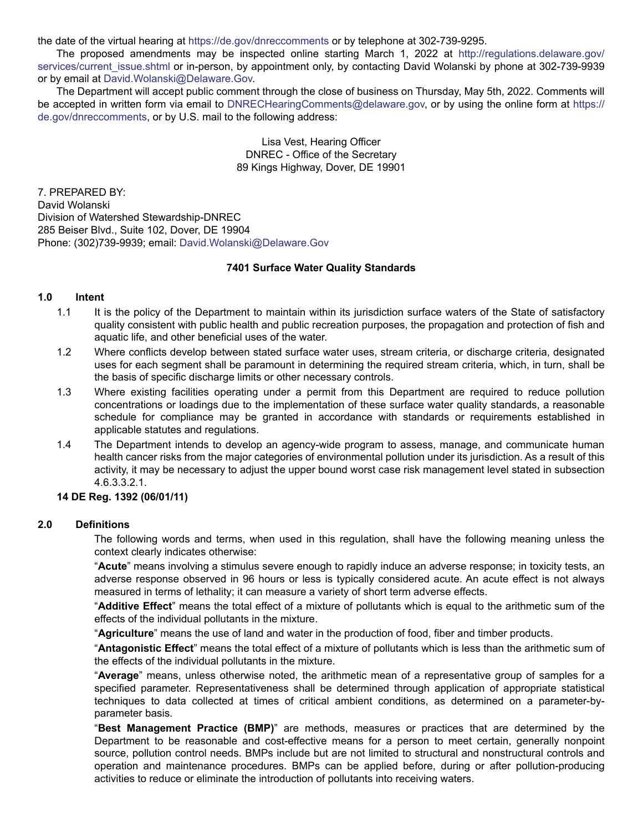the date of the virtual hearing at<https://de.gov/dnreccomments> or by telephone at 302-739-9295.

The proposed amendments may be inspected online starting March 1, 2022 at [http://regulations.delaware.gov/](http://regulations.delaware.gov/services/current_issue.shtml) services/current issue.shtml or in-person, by appointment only, by contacting David Wolanski by phone at 302-739-9939 or by email at [David.Wolanski@Delaware.Gov.](mailto:David.Wolanski@Delaware.Gov)

The Department will accept public comment through the close of business on Thursday, May 5th, 2022. Comments will be accepted in written form via email to [DNRECHearingComments@delaware.gov,](mailto:DNRECHearingComments@delaware.gov) or by using the online form at [https://](https://de.gov/dnreccomments) [de.gov/dnreccomments,](https://de.gov/dnreccomments) or by U.S. mail to the following address:

> Lisa Vest, Hearing Officer DNREC - Office of the Secretary 89 Kings Highway, Dover, DE 19901

7. PREPARED BY: David Wolanski Division of Watershed Stewardship-DNREC 285 Beiser Blvd., Suite 102, Dover, DE 19904 Phone: (302)739-9939; email: [David.Wolanski@Delaware.Gov](mailto:David.Wolanski@Delaware.Gov)

## **7401 Surface Water Quality Standards**

#### **1.0 Intent**

- 1.1 It is the policy of the Department to maintain within its jurisdiction surface waters of the State of satisfactory quality consistent with public health and public recreation purposes, the propagation and protection of fish and aquatic life, and other beneficial uses of the water.
- 1.2 Where conflicts develop between stated surface water uses, stream criteria, or discharge criteria, designated uses for each segment shall be paramount in determining the required stream criteria, which, in turn, shall be the basis of specific discharge limits or other necessary controls.
- 1.3 Where existing facilities operating under a permit from this Department are required to reduce pollution concentrations or loadings due to the implementation of these surface water quality standards, a reasonable schedule for compliance may be granted in accordance with standards or requirements established in applicable statutes and regulations.
- 1.4 The Department intends to develop an agency-wide program to assess, manage, and communicate human health cancer risks from the major categories of environmental pollution under its jurisdiction. As a result of this activity, it may be necessary to adjust the upper bound worst case risk management level stated in subsection 4.6.3.3.2.1.

## **14 DE Reg. 1392 (06/01/11)**

#### **2.0 Definitions**

The following words and terms, when used in this regulation, shall have the following meaning unless the context clearly indicates otherwise:

"**Acute**" means involving a stimulus severe enough to rapidly induce an adverse response; in toxicity tests, an adverse response observed in 96 hours or less is typically considered acute. An acute effect is not always measured in terms of lethality; it can measure a variety of short term adverse effects.

"**Additive Effect**" means the total effect of a mixture of pollutants which is equal to the arithmetic sum of the effects of the individual pollutants in the mixture.

"**Agriculture**" means the use of land and water in the production of food, fiber and timber products.

"**Antagonistic Effect**" means the total effect of a mixture of pollutants which is less than the arithmetic sum of the effects of the individual pollutants in the mixture.

"**Average**" means, unless otherwise noted, the arithmetic mean of a representative group of samples for a specified parameter. Representativeness shall be determined through application of appropriate statistical techniques to data collected at times of critical ambient conditions, as determined on a parameter-byparameter basis.

"**Best Management Practice (BMP)**" are methods, measures or practices that are determined by the Department to be reasonable and cost-effective means for a person to meet certain, generally nonpoint source, pollution control needs. BMPs include but are not limited to structural and nonstructural controls and operation and maintenance procedures. BMPs can be applied before, during or after pollution-producing activities to reduce or eliminate the introduction of pollutants into receiving waters.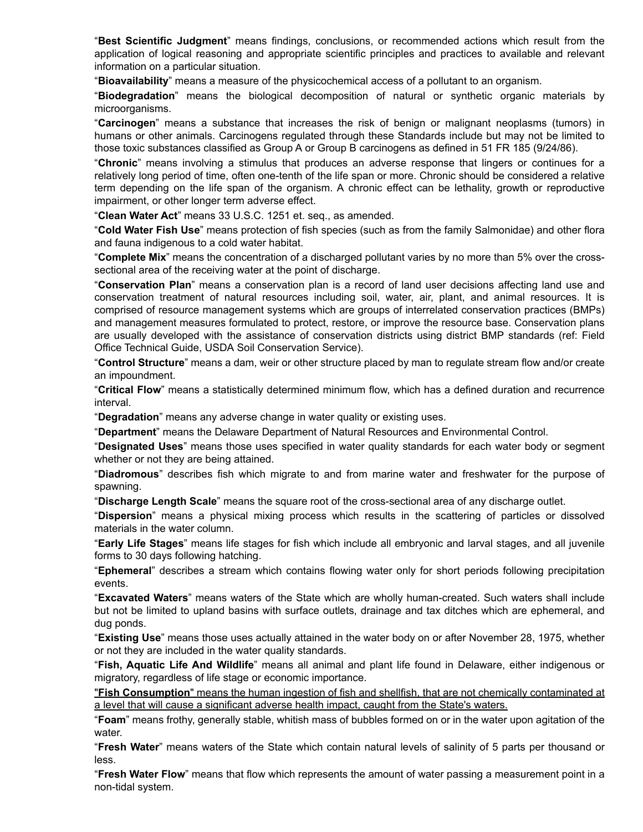"**Best Scientific Judgment**" means findings, conclusions, or recommended actions which result from the application of logical reasoning and appropriate scientific principles and practices to available and relevant information on a particular situation.

"**Bioavailability**" means a measure of the physicochemical access of a pollutant to an organism.

"**Biodegradation**" means the biological decomposition of natural or synthetic organic materials by microorganisms.

"**Carcinogen**" means a substance that increases the risk of benign or malignant neoplasms (tumors) in humans or other animals. Carcinogens regulated through these Standards include but may not be limited to those toxic substances classified as Group A or Group B carcinogens as defined in 51 FR 185 (9/24/86).

"**Chronic**" means involving a stimulus that produces an adverse response that lingers or continues for a relatively long period of time, often one-tenth of the life span or more. Chronic should be considered a relative term depending on the life span of the organism. A chronic effect can be lethality, growth or reproductive impairment, or other longer term adverse effect.

"**Clean Water Act**" means 33 U.S.C. 1251 et. seq., as amended.

"**Cold Water Fish Use**" means protection of fish species (such as from the family Salmonidae) and other flora and fauna indigenous to a cold water habitat.

"**Complete Mix**" means the concentration of a discharged pollutant varies by no more than 5% over the crosssectional area of the receiving water at the point of discharge.

"**Conservation Plan**" means a conservation plan is a record of land user decisions affecting land use and conservation treatment of natural resources including soil, water, air, plant, and animal resources. It is comprised of resource management systems which are groups of interrelated conservation practices (BMPs) and management measures formulated to protect, restore, or improve the resource base. Conservation plans are usually developed with the assistance of conservation districts using district BMP standards (ref: Field Office Technical Guide, USDA Soil Conservation Service).

"**Control Structure**" means a dam, weir or other structure placed by man to regulate stream flow and/or create an impoundment.

"**Critical Flow**" means a statistically determined minimum flow, which has a defined duration and recurrence interval.

"**Degradation**" means any adverse change in water quality or existing uses.

"**Department**" means the Delaware Department of Natural Resources and Environmental Control.

"**Designated Uses**" means those uses specified in water quality standards for each water body or segment whether or not they are being attained.

"**Diadromous**" describes fish which migrate to and from marine water and freshwater for the purpose of spawning.

"**Discharge Length Scale**" means the square root of the cross-sectional area of any discharge outlet.

"**Dispersion**" means a physical mixing process which results in the scattering of particles or dissolved materials in the water column.

"**Early Life Stages**" means life stages for fish which include all embryonic and larval stages, and all juvenile forms to 30 days following hatching.

"**Ephemeral**" describes a stream which contains flowing water only for short periods following precipitation events.

"**Excavated Waters**" means waters of the State which are wholly human-created. Such waters shall include but not be limited to upland basins with surface outlets, drainage and tax ditches which are ephemeral, and dug ponds.

"**Existing Use**" means those uses actually attained in the water body on or after November 28, 1975, whether or not they are included in the water quality standards.

"**Fish, Aquatic Life And Wildlife**" means all animal and plant life found in Delaware, either indigenous or migratory, regardless of life stage or economic importance.

"**Fish Consumption**" means the human ingestion of fish and shellfish, that are not chemically contaminated at a level that will cause a significant adverse health impact, caught from the State's waters.

"**Foam**" means frothy, generally stable, whitish mass of bubbles formed on or in the water upon agitation of the water.

"**Fresh Water**" means waters of the State which contain natural levels of salinity of 5 parts per thousand or less.

"**Fresh Water Flow**" means that flow which represents the amount of water passing a measurement point in a non-tidal system.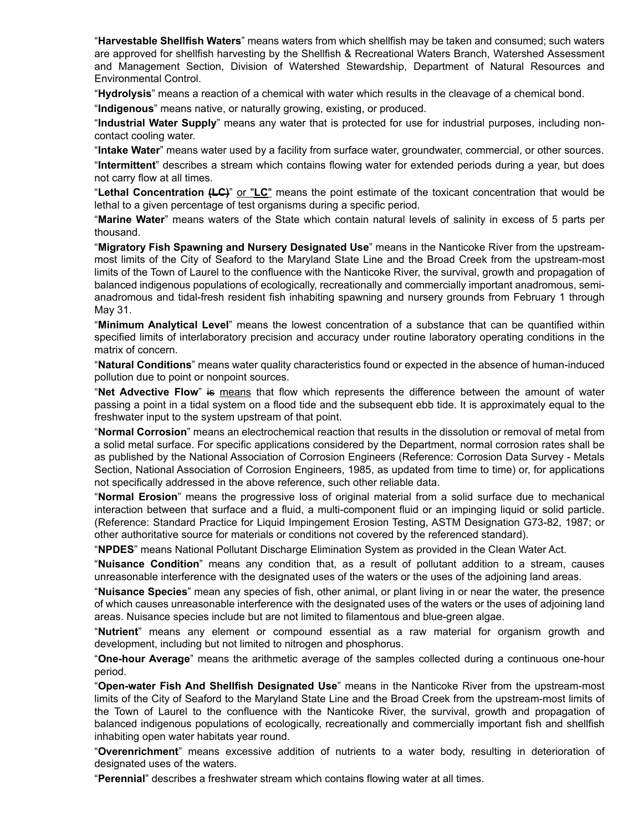"**Harvestable Shellfish Waters**" means waters from which shellfish may be taken and consumed; such waters are approved for shellfish harvesting by the Shellfish & Recreational Waters Branch, Watershed Assessment and Management Section, Division of Watershed Stewardship, Department of Natural Resources and Environmental Control.

"**Hydrolysis**" means a reaction of a chemical with water which results in the cleavage of a chemical bond.

"**Indigenous**" means native, or naturally growing, existing, or produced.

"**Industrial Water Supply**" means any water that is protected for use for industrial purposes, including noncontact cooling water.

"**Intake Water**" means water used by a facility from surface water, groundwater, commercial, or other sources. "**Intermittent**" describes a stream which contains flowing water for extended periods during a year, but does not carry flow at all times.

"**Lethal Concentration (LC)**" or "**LC**" means the point estimate of the toxicant concentration that would be lethal to a given percentage of test organisms during a specific period.

"**Marine Water**" means waters of the State which contain natural levels of salinity in excess of 5 parts per thousand.

"**Migratory Fish Spawning and Nursery Designated Use**" means in the Nanticoke River from the upstreammost limits of the City of Seaford to the Maryland State Line and the Broad Creek from the upstream-most limits of the Town of Laurel to the confluence with the Nanticoke River, the survival, growth and propagation of balanced indigenous populations of ecologically, recreationally and commercially important anadromous, semianadromous and tidal-fresh resident fish inhabiting spawning and nursery grounds from February 1 through May 31.

"**Minimum Analytical Level**" means the lowest concentration of a substance that can be quantified within specified limits of interlaboratory precision and accuracy under routine laboratory operating conditions in the matrix of concern.

"**Natural Conditions**" means water quality characteristics found or expected in the absence of human-induced pollution due to point or nonpoint sources.

"**Net Advective Flow**" is means that flow which represents the difference between the amount of water passing a point in a tidal system on a flood tide and the subsequent ebb tide. It is approximately equal to the freshwater input to the system upstream of that point.

"**Normal Corrosion**" means an electrochemical reaction that results in the dissolution or removal of metal from a solid metal surface. For specific applications considered by the Department, normal corrosion rates shall be as published by the National Association of Corrosion Engineers (Reference: Corrosion Data Survey - Metals Section, National Association of Corrosion Engineers, 1985, as updated from time to time) or, for applications not specifically addressed in the above reference, such other reliable data.

"**Normal Erosion**" means the progressive loss of original material from a solid surface due to mechanical interaction between that surface and a fluid, a multi-component fluid or an impinging liquid or solid particle. (Reference: Standard Practice for Liquid Impingement Erosion Testing, ASTM Designation G73-82, 1987; or other authoritative source for materials or conditions not covered by the referenced standard).

"**NPDES**" means National Pollutant Discharge Elimination System as provided in the Clean Water Act.

"**Nuisance Condition**" means any condition that, as a result of pollutant addition to a stream, causes unreasonable interference with the designated uses of the waters or the uses of the adjoining land areas.

"**Nuisance Species**" mean any species of fish, other animal, or plant living in or near the water, the presence of which causes unreasonable interference with the designated uses of the waters or the uses of adjoining land areas. Nuisance species include but are not limited to filamentous and blue-green algae.

"**Nutrient**" means any element or compound essential as a raw material for organism growth and development, including but not limited to nitrogen and phosphorus.

"**One-hour Average**" means the arithmetic average of the samples collected during a continuous one-hour period.

"**Open-water Fish And Shellfish Designated Use**" means in the Nanticoke River from the upstream-most limits of the City of Seaford to the Maryland State Line and the Broad Creek from the upstream-most limits of the Town of Laurel to the confluence with the Nanticoke River, the survival, growth and propagation of balanced indigenous populations of ecologically, recreationally and commercially important fish and shellfish inhabiting open water habitats year round.

"**Overenrichment**" means excessive addition of nutrients to a water body, resulting in deterioration of designated uses of the waters.

"**Perennial**" describes a freshwater stream which contains flowing water at all times.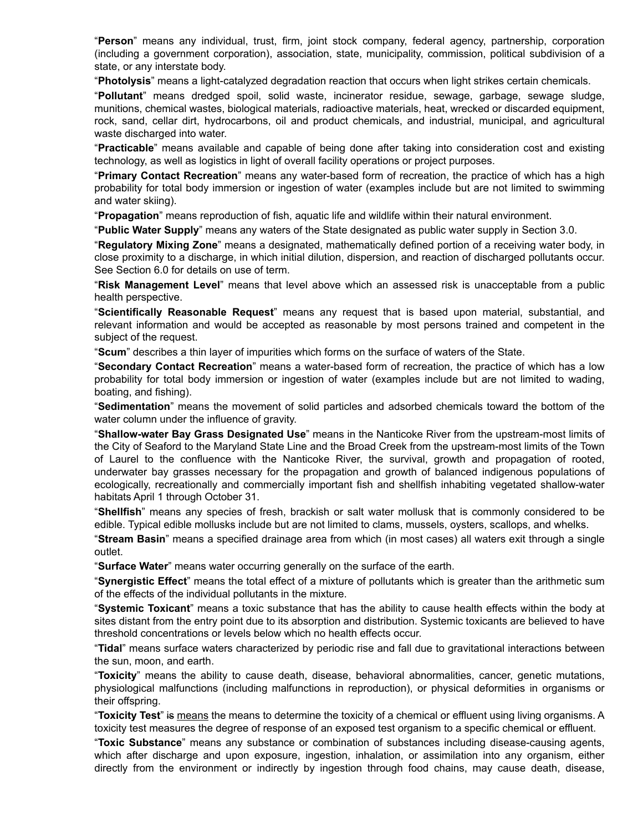"**Person**" means any individual, trust, firm, joint stock company, federal agency, partnership, corporation (including a government corporation), association, state, municipality, commission, political subdivision of a state, or any interstate body.

"**Photolysis**" means a light-catalyzed degradation reaction that occurs when light strikes certain chemicals.

"**Pollutant**" means dredged spoil, solid waste, incinerator residue, sewage, garbage, sewage sludge, munitions, chemical wastes, biological materials, radioactive materials, heat, wrecked or discarded equipment, rock, sand, cellar dirt, hydrocarbons, oil and product chemicals, and industrial, municipal, and agricultural waste discharged into water.

"**Practicable**" means available and capable of being done after taking into consideration cost and existing technology, as well as logistics in light of overall facility operations or project purposes.

"**Primary Contact Recreation**" means any water-based form of recreation, the practice of which has a high probability for total body immersion or ingestion of water (examples include but are not limited to swimming and water skiing).

"**Propagation**" means reproduction of fish, aquatic life and wildlife within their natural environment.

"**Public Water Supply**" means any waters of the State designated as public water supply in Section 3.0.

"**Regulatory Mixing Zone**" means a designated, mathematically defined portion of a receiving water body, in close proximity to a discharge, in which initial dilution, dispersion, and reaction of discharged pollutants occur. See Section 6.0 for details on use of term.

"**Risk Management Level**" means that level above which an assessed risk is unacceptable from a public health perspective.

"**Scientifically Reasonable Request**" means any request that is based upon material, substantial, and relevant information and would be accepted as reasonable by most persons trained and competent in the subject of the request.

"**Scum**" describes a thin layer of impurities which forms on the surface of waters of the State.

"**Secondary Contact Recreation**" means a water-based form of recreation, the practice of which has a low probability for total body immersion or ingestion of water (examples include but are not limited to wading, boating, and fishing).

"**Sedimentation**" means the movement of solid particles and adsorbed chemicals toward the bottom of the water column under the influence of gravity.

"**Shallow-water Bay Grass Designated Use**" means in the Nanticoke River from the upstream-most limits of the City of Seaford to the Maryland State Line and the Broad Creek from the upstream-most limits of the Town of Laurel to the confluence with the Nanticoke River, the survival, growth and propagation of rooted, underwater bay grasses necessary for the propagation and growth of balanced indigenous populations of ecologically, recreationally and commercially important fish and shellfish inhabiting vegetated shallow-water habitats April 1 through October 31.

"**Shellfish**" means any species of fresh, brackish or salt water mollusk that is commonly considered to be edible. Typical edible mollusks include but are not limited to clams, mussels, oysters, scallops, and whelks.

"**Stream Basin**" means a specified drainage area from which (in most cases) all waters exit through a single outlet.

"**Surface Water**" means water occurring generally on the surface of the earth.

"**Synergistic Effect**" means the total effect of a mixture of pollutants which is greater than the arithmetic sum of the effects of the individual pollutants in the mixture.

"**Systemic Toxicant**" means a toxic substance that has the ability to cause health effects within the body at sites distant from the entry point due to its absorption and distribution. Systemic toxicants are believed to have threshold concentrations or levels below which no health effects occur.

"**Tidal**" means surface waters characterized by periodic rise and fall due to gravitational interactions between the sun, moon, and earth.

"**Toxicity**" means the ability to cause death, disease, behavioral abnormalities, cancer, genetic mutations, physiological malfunctions (including malfunctions in reproduction), or physical deformities in organisms or their offspring.

"**Toxicity Test**" is means the means to determine the toxicity of a chemical or effluent using living organisms. A toxicity test measures the degree of response of an exposed test organism to a specific chemical or effluent.

"**Toxic Substance**" means any substance or combination of substances including disease-causing agents, which after discharge and upon exposure, ingestion, inhalation, or assimilation into any organism, either directly from the environment or indirectly by ingestion through food chains, may cause death, disease,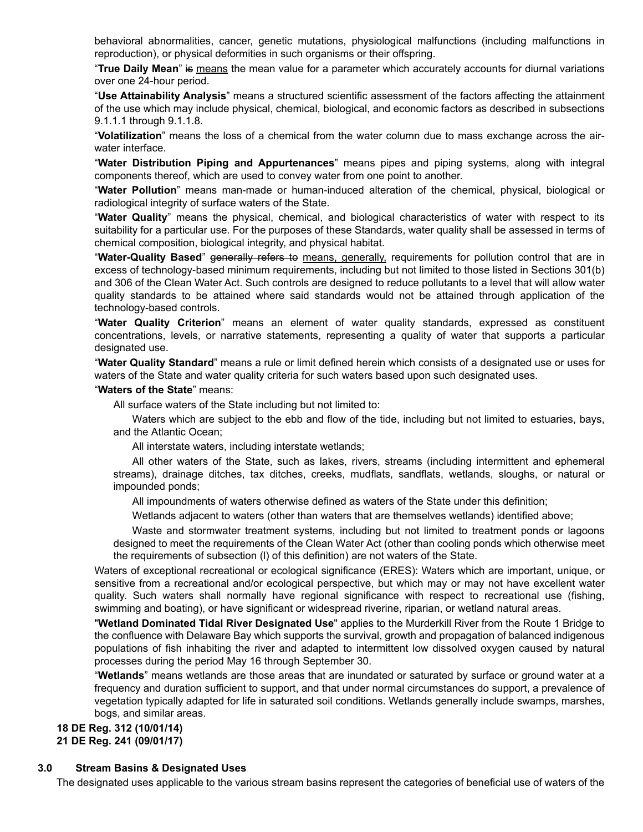behavioral abnormalities, cancer, genetic mutations, physiological malfunctions (including malfunctions in reproduction), or physical deformities in such organisms or their offspring.

"**True Daily Mean**" is means the mean value for a parameter which accurately accounts for diurnal variations over one 24-hour period.

"**Use Attainability Analysis**" means a structured scientific assessment of the factors affecting the attainment of the use which may include physical, chemical, biological, and economic factors as described in subsections 9.1.1.1 through 9.1.1.8.

"**Volatilization**" means the loss of a chemical from the water column due to mass exchange across the airwater interface.

"**Water Distribution Piping and Appurtenances**" means pipes and piping systems, along with integral components thereof, which are used to convey water from one point to another.

"**Water Pollution**" means man-made or human-induced alteration of the chemical, physical, biological or radiological integrity of surface waters of the State.

"**Water Quality**" means the physical, chemical, and biological characteristics of water with respect to its suitability for a particular use. For the purposes of these Standards, water quality shall be assessed in terms of chemical composition, biological integrity, and physical habitat.

"**Water-Quality Based**" generally refers to means, generally, requirements for pollution control that are in excess of technology-based minimum requirements, including but not limited to those listed in Sections 301(b) and 306 of the Clean Water Act. Such controls are designed to reduce pollutants to a level that will allow water quality standards to be attained where said standards would not be attained through application of the technology-based controls.

"**Water Quality Criterion**" means an element of water quality standards, expressed as constituent concentrations, levels, or narrative statements, representing a quality of water that supports a particular designated use.

"**Water Quality Standard**" means a rule or limit defined herein which consists of a designated use or uses for waters of the State and water quality criteria for such waters based upon such designated uses.

"**Waters of the State**" means:

All surface waters of the State including but not limited to:

Waters which are subject to the ebb and flow of the tide, including but not limited to estuaries, bays, and the Atlantic Ocean;

All interstate waters, including interstate wetlands;

All other waters of the State, such as lakes, rivers, streams (including intermittent and ephemeral streams), drainage ditches, tax ditches, creeks, mudflats, sandflats, wetlands, sloughs, or natural or impounded ponds;

All impoundments of waters otherwise defined as waters of the State under this definition;

Wetlands adjacent to waters (other than waters that are themselves wetlands) identified above;

Waste and stormwater treatment systems, including but not limited to treatment ponds or lagoons designed to meet the requirements of the Clean Water Act (other than cooling ponds which otherwise meet the requirements of subsection (l) of this definition) are not waters of the State.

Waters of exceptional recreational or ecological significance (ERES): Waters which are important, unique, or sensitive from a recreational and/or ecological perspective, but which may or may not have excellent water quality. Such waters shall normally have regional significance with respect to recreational use (fishing, swimming and boating), or have significant or widespread riverine, riparian, or wetland natural areas.

"**Wetland Dominated Tidal River Designated Use**" applies to the Murderkill River from the Route 1 Bridge to the confluence with Delaware Bay which supports the survival, growth and propagation of balanced indigenous populations of fish inhabiting the river and adapted to intermittent low dissolved oxygen caused by natural processes during the period May 16 through September 30.

"**Wetlands**" means wetlands are those areas that are inundated or saturated by surface or ground water at a frequency and duration sufficient to support, and that under normal circumstances do support, a prevalence of vegetation typically adapted for life in saturated soil conditions. Wetlands generally include swamps, marshes, bogs, and similar areas.

**18 DE Reg. 312 (10/01/14) 21 DE Reg. 241 (09/01/17)**

#### **3.0 Stream Basins & Designated Uses**

The designated uses applicable to the various stream basins represent the categories of beneficial use of waters of the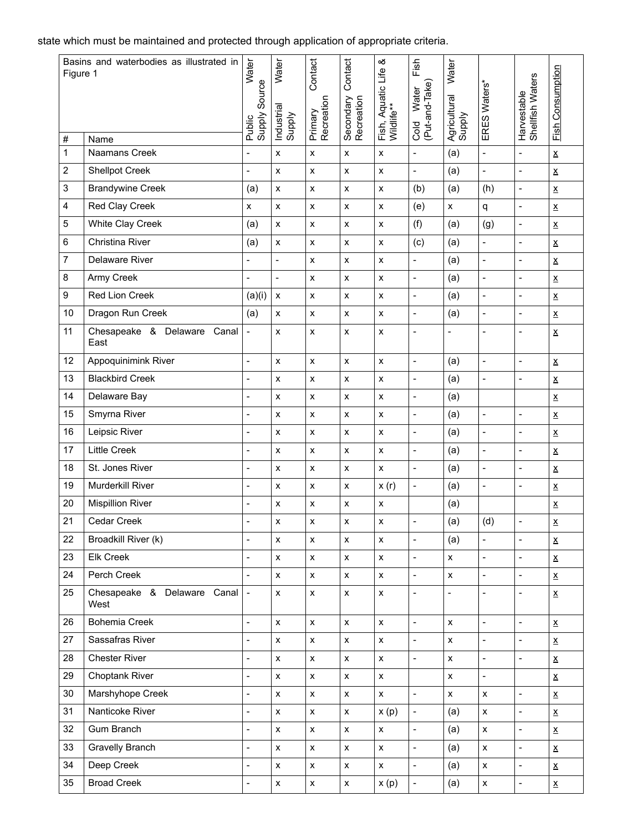state which must be maintained and protected through application of appropriate criteria.

| Figure 1          | Basins and waterbodies as illustrated in | Water<br>Source              | Water                | Contact               | Contact                 | య                                | Fish                            | Water                  |                              |                                 |                          |
|-------------------|------------------------------------------|------------------------------|----------------------|-----------------------|-------------------------|----------------------------------|---------------------------------|------------------------|------------------------------|---------------------------------|--------------------------|
|                   |                                          | Supply<br>Public             | Industrial<br>Supply | Primary<br>Recreation | Secondary<br>Recreation | Fish, Aquatic Life<br>Wildlife** | (Put-and-Take)<br>Water<br>Cold | Agricultural<br>Supply | ERES Waters*                 | Shellfish Waters<br>Harvestable | <b>Fish Consumption</b>  |
| #<br>$\mathbf{1}$ | Name<br>Naamans Creek                    | $\overline{a}$               | $\pmb{\chi}$         | $\pmb{\mathsf{x}}$    | $\pmb{\times}$          | $\pmb{\mathsf{x}}$               | $\blacksquare$                  | (a)                    | $\overline{a}$               | $\blacksquare$                  | $\underline{\mathsf{x}}$ |
| $\overline{c}$    | <b>Shellpot Creek</b>                    | $\qquad \qquad \blacksquare$ | $\pmb{\mathsf{X}}$   | $\pmb{\mathsf{X}}$    | $\pmb{\mathsf{x}}$      | $\pmb{\mathsf{x}}$               | $\blacksquare$                  | (a)                    | $\blacksquare$               | $\blacksquare$                  | $\underline{\mathsf{X}}$ |
| 3                 | <b>Brandywine Creek</b>                  | (a)                          | $\pmb{\mathsf{x}}$   | $\pmb{\mathsf{x}}$    | $\pmb{\mathsf{x}}$      | $\pmb{\mathsf{x}}$               | (b)                             | (a)                    | (h)                          | $\blacksquare$                  | $\underline{\textbf{X}}$ |
| 4                 | Red Clay Creek                           | $\pmb{\mathsf{x}}$           | $\pmb{\mathsf{x}}$   | $\pmb{\mathsf{x}}$    | $\pmb{\mathsf{x}}$      | X                                | (e)                             | X                      | q                            | $\blacksquare$                  | $\underline{\textbf{X}}$ |
| 5                 | White Clay Creek                         | (a)                          | $\pmb{\mathsf{x}}$   | $\pmb{\mathsf{x}}$    | $\pmb{\mathsf{x}}$      | $\pmb{\mathsf{x}}$               | (f)                             | (a)                    | (g)                          | $\overline{\phantom{a}}$        | $\underline{\mathsf{X}}$ |
| 6                 | Christina River                          | (a)                          | $\pmb{\mathsf{x}}$   | $\pmb{\mathsf{x}}$    | X                       | $\pmb{\mathsf{x}}$               | (c)                             | (a)                    | $\blacksquare$               | $\blacksquare$                  | $\underline{\mathsf{X}}$ |
| $\overline{7}$    | Delaware River                           | $\overline{a}$               | $\overline{a}$       | $\pmb{\mathsf{x}}$    | $\pmb{\mathsf{x}}$      | $\pmb{\mathsf{x}}$               | $\overline{\phantom{a}}$        | (a)                    | $\frac{1}{2}$                | $\overline{a}$                  | $\underline{\textbf{X}}$ |
| 8                 | Army Creek                               | $\qquad \qquad \blacksquare$ | $\overline{a}$       | $\pmb{\mathsf{x}}$    | X                       | $\pmb{\mathsf{x}}$               | $\overline{\phantom{a}}$        | (a)                    | $\qquad \qquad \blacksquare$ | $\blacksquare$                  | $\underline{\mathsf{X}}$ |
| 9                 | Red Lion Creek                           | (a)(i)                       | $\pmb{\mathsf{x}}$   | $\pmb{\mathsf{x}}$    | $\pmb{\mathsf{x}}$      | $\pmb{\mathsf{x}}$               | $\overline{\phantom{a}}$        | (a)                    | $\qquad \qquad \blacksquare$ | $\blacksquare$                  | $\underline{\mathsf{X}}$ |
| 10                | Dragon Run Creek                         | (a)                          | $\pmb{\mathsf{x}}$   | $\pmb{\mathsf{x}}$    | $\pmb{\mathsf{x}}$      | $\pmb{\mathsf{X}}$               | $\overline{\phantom{a}}$        | (a)                    | $\frac{1}{2}$                | $\overline{\phantom{a}}$        | $\underline{\textbf{X}}$ |
| 11                | Chesapeake & Delaware<br>Canal<br>East   | $\qquad \qquad \blacksquare$ | $\pmb{\times}$       | X                     | X                       | x                                | $\overline{\phantom{a}}$        |                        | $\blacksquare$               | $\overline{\phantom{a}}$        | $\underline{\mathsf{X}}$ |
| 12                | Appoquinimink River                      | $\overline{a}$               | $\pmb{\mathsf{x}}$   | $\pmb{\mathsf{x}}$    | $\pmb{\mathsf{x}}$      | $\pmb{\mathsf{x}}$               | $\blacksquare$                  | (a)                    | $\overline{a}$               | $\overline{a}$                  | $\underline{\mathsf{x}}$ |
| 13                | <b>Blackbird Creek</b>                   | $\frac{1}{2}$                | $\pmb{\times}$       | $\pmb{\mathsf{x}}$    | $\pmb{\times}$          | x                                | $\blacksquare$                  | (a)                    | $\blacksquare$               | $\blacksquare$                  | $\underline{\mathsf{X}}$ |
| 14                | Delaware Bay                             | $\qquad \qquad \blacksquare$ | $\pmb{\mathsf{x}}$   | $\pmb{\mathsf{x}}$    | $\pmb{\mathsf{x}}$      | $\pmb{\mathsf{x}}$               | $\overline{\phantom{a}}$        | (a)                    |                              |                                 | $\underline{\textbf{X}}$ |
| 15                | Smyrna River                             | $\overline{a}$               | $\pmb{\mathsf{x}}$   | $\pmb{\mathsf{x}}$    | $\pmb{\mathsf{x}}$      | X                                | $\overline{\phantom{a}}$        | (a)                    | $\blacksquare$               | $\blacksquare$                  | $\underline{\textbf{X}}$ |
| 16                | Leipsic River                            | $\overline{\phantom{a}}$     | $\pmb{\times}$       | $\pmb{\mathsf{x}}$    | $\pmb{\times}$          | x                                | $\overline{\phantom{a}}$        | (a)                    | $\frac{1}{2}$                | $\blacksquare$                  | $\underline{\mathsf{X}}$ |
| 17                | <b>Little Creek</b>                      | $\qquad \qquad \blacksquare$ | $\pmb{\chi}$         | $\pmb{\mathsf{x}}$    | X                       | $\pmb{\mathsf{x}}$               | $\overline{\phantom{a}}$        | (a)                    | $\frac{1}{2}$                | $\overline{\phantom{a}}$        | $\underline{\textbf{X}}$ |
| 18                | St. Jones River                          | $\frac{1}{2}$                | $\pmb{\chi}$         | $\pmb{\mathsf{x}}$    | $\pmb{\times}$          | $\pmb{\mathsf{x}}$               | $\overline{a}$                  | (a)                    | $\overline{a}$               | $\blacksquare$                  | $\underline{\mathsf{X}}$ |
| 19                | <b>Murderkill River</b>                  | $\qquad \qquad \blacksquare$ | $\pmb{\times}$       | $\pmb{\mathsf{x}}$    | $\pmb{\mathsf{x}}$      | x(r)                             | $\blacksquare$                  | (a)                    | $\qquad \qquad \blacksquare$ | $\blacksquare$                  | $\underline{\mathsf{X}}$ |
| 20                | <b>Mispillion River</b>                  | $\qquad \qquad \blacksquare$ | $\pmb{\mathsf{x}}$   | $\pmb{\mathsf{x}}$    | $\pmb{\mathsf{x}}$      | x                                |                                 | (a)                    |                              |                                 | $\underline{\textbf{X}}$ |
| 21                | Cedar Creek                              | $\overline{a}$               | $\pmb{\times}$       | $\pmb{\mathsf{x}}$    | X                       | X                                | $\blacksquare$                  | (a)                    | (d)                          | $\overline{a}$                  | $\underline{\mathsf{X}}$ |
| 22                | Broadkill River (k)                      | $\overline{a}$               | $\pmb{\mathsf{X}}$   | X                     | $\pmb{\mathsf{x}}$      | x                                | $\blacksquare$                  | (a)                    | $\frac{1}{2}$                | $\blacksquare$                  | $\underline{\mathsf{X}}$ |
| 23                | Elk Creek                                | $\frac{1}{2}$                | $\pmb{\mathsf{X}}$   | $\pmb{\mathsf{x}}$    | $\pmb{\mathsf{x}}$      | $\pmb{\mathsf{x}}$               | $\blacksquare$                  | $\pmb{\mathsf{X}}$     | $\blacksquare$               | $\blacksquare$                  | $\underline{\mathsf{X}}$ |
| 24                | Perch Creek                              | $\overline{a}$               | $\pmb{\mathsf{x}}$   | $\pmb{\mathsf{x}}$    | $\pmb{\mathsf{x}}$      | $\pmb{\mathsf{X}}$               | $\blacksquare$                  | $\pmb{\mathsf{x}}$     | $\frac{1}{2}$                | $\blacksquare$                  | $\underline{\mathsf{X}}$ |
| 25                | Chesapeake & Delaware Canal<br>West      | $\blacksquare$               | $\pmb{\mathsf{x}}$   | $\pmb{\mathsf{x}}$    | $\pmb{\mathsf{x}}$      | $\pmb{\mathsf{x}}$               | $\overline{\phantom{a}}$        | $\blacksquare$         | $\overline{\phantom{a}}$     | $\blacksquare$                  | $\underline{\mathsf{X}}$ |
| 26                | Bohemia Creek                            | $\overline{a}$               | $\pmb{\mathsf{X}}$   | $\pmb{\mathsf{X}}$    | $\pmb{\mathsf{x}}$      | $\pmb{\mathsf{X}}$               | $\blacksquare$                  | $\pmb{\mathsf{x}}$     | $\frac{1}{2}$                | $\blacksquare$                  | $\underline{\mathsf{X}}$ |
| 27                | Sassafras River                          | $\overline{a}$               | $\pmb{\mathsf{x}}$   | $\pmb{\mathsf{x}}$    | $\pmb{\mathsf{x}}$      | $\pmb{\mathsf{X}}$               | $\blacksquare$                  | $\pmb{\mathsf{X}}$     | $\blacksquare$               | $\blacksquare$                  | $\underline{\mathsf{X}}$ |
| 28                | <b>Chester River</b>                     | $\frac{1}{2}$                | $\pmb{\mathsf{X}}$   | X                     | $\pmb{\mathsf{x}}$      | $\pmb{\mathsf{x}}$               | $\blacksquare$                  | $\pmb{\mathsf{x}}$     | $\frac{1}{2}$                | $\blacksquare$                  | $\underline{\textbf{X}}$ |
| 29                | <b>Choptank River</b>                    | $\overline{a}$               | $\pmb{\mathsf{x}}$   | $\pmb{\mathsf{X}}$    | $\pmb{\mathsf{x}}$      | $\pmb{\mathsf{X}}$               |                                 | $\pmb{\mathsf{x}}$     | $\blacksquare$               |                                 | $\underline{\mathsf{x}}$ |
| 30                | Marshyhope Creek                         | $\overline{\phantom{0}}$     | $\pmb{\mathsf{X}}$   | X                     | $\pmb{\mathsf{x}}$      | $\pmb{\mathsf{x}}$               | $\blacksquare$                  | $\pmb{\mathsf{x}}$     | $\pmb{\mathsf{x}}$           | $\blacksquare$                  | $\underline{\mathsf{X}}$ |
| 31                | Nanticoke River                          | $\frac{1}{2}$                | $\pmb{\mathsf{X}}$   | $\pmb{\mathsf{X}}$    | $\pmb{\mathsf{x}}$      | x(p)                             | $\blacksquare$                  | (a)                    | $\pmb{\mathsf{x}}$           | $\blacksquare$                  | $\underline{\textbf{X}}$ |
| 32                | Gum Branch                               | $\overline{a}$               | $\pmb{\mathsf{x}}$   | $\pmb{\mathsf{x}}$    | $\pmb{\mathsf{x}}$      | $\pmb{\mathsf{X}}$               | $\overline{\phantom{a}}$        | (a)                    | $\pmb{\mathsf{x}}$           | $\blacksquare$                  | $\underline{\mathsf{x}}$ |
| 33                | <b>Gravelly Branch</b>                   | $\qquad \qquad \blacksquare$ | $\pmb{\mathsf{X}}$   | $\pmb{\mathsf{x}}$    | $\pmb{\mathsf{x}}$      | X                                | $\blacksquare$                  | (a)                    | $\pmb{\mathsf{X}}$           | $\blacksquare$                  | $\underline{\mathsf{X}}$ |
| 34                | Deep Creek                               | $\overline{\phantom{a}}$     | $\pmb{\mathsf{X}}$   | $\pmb{\mathsf{x}}$    | $\pmb{\mathsf{x}}$      | X                                | $\blacksquare$                  | (a)                    | $\pmb{\mathsf{X}}$           | $\blacksquare$                  | $\underline{\textbf{X}}$ |
| 35                | <b>Broad Creek</b>                       | $\overline{a}$               | $\pmb{\mathsf{x}}$   | $\pmb{\mathsf{x}}$    | $\pmb{\mathsf{x}}$      | x(p)                             | $\overline{\phantom{a}}$        | (a)                    | $\pmb{\mathsf{X}}$           | $\blacksquare$                  | $\underline{\mathsf{x}}$ |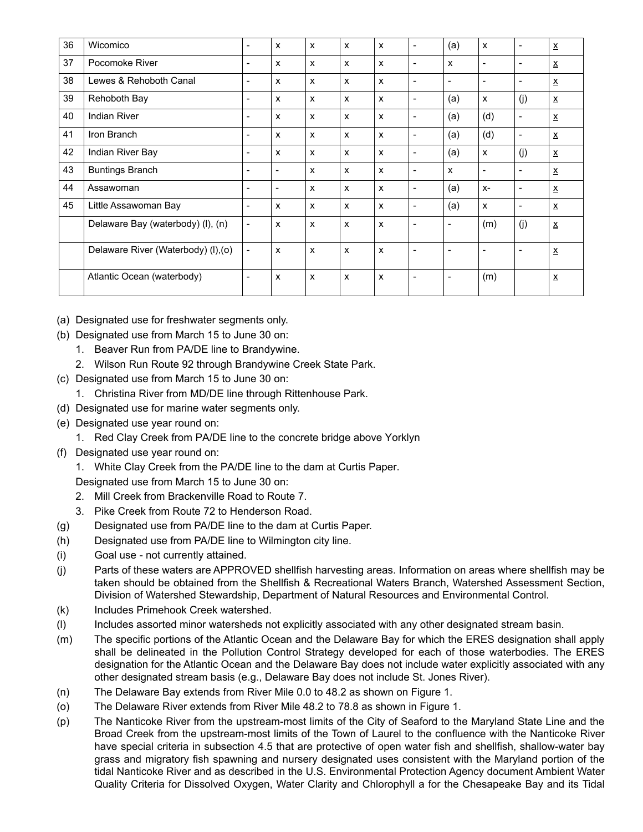| 36 | Wicomico                            |                          | X                        | x | X | X                         | $\overline{\phantom{a}}$ | (a)                      | X                         | $\overline{\phantom{a}}$ | $\underline{\mathsf{x}}$ |
|----|-------------------------------------|--------------------------|--------------------------|---|---|---------------------------|--------------------------|--------------------------|---------------------------|--------------------------|--------------------------|
| 37 | Pocomoke River                      | $\overline{\phantom{0}}$ | X                        | X | X | X                         | $\overline{\phantom{a}}$ | $\mathsf{x}$             | $\overline{\phantom{a}}$  | $\overline{\phantom{a}}$ | $\underline{\mathsf{x}}$ |
| 38 | Lewes & Rehoboth Canal              |                          | X                        | X | X | X                         | $\overline{\phantom{a}}$ |                          | $\overline{\phantom{a}}$  | $\overline{\phantom{a}}$ | $\underline{\mathsf{x}}$ |
| 39 | Rehoboth Bay                        | $\overline{\phantom{0}}$ | X                        | x | X | X                         | $\overline{\phantom{a}}$ | (a)                      | X                         | (i)                      | $\underline{\mathsf{X}}$ |
| 40 | <b>Indian River</b>                 |                          | X                        | X | X | X                         | $\overline{\phantom{a}}$ | (a)                      | (d)                       | $\overline{\phantom{a}}$ | $\underline{x}$          |
| 41 | Iron Branch                         | -                        | X                        | x | X | X                         | $\blacksquare$           | (a)                      | (d)                       | $\overline{\phantom{a}}$ | $\underline{\mathsf{x}}$ |
| 42 | Indian River Bay                    |                          | X                        | X | X | X                         | $\overline{\phantom{a}}$ | (a)                      | $\boldsymbol{\mathsf{x}}$ | (i)                      | $\underline{\mathsf{x}}$ |
| 43 | <b>Buntings Branch</b>              |                          | ٠                        | x | X | X                         | $\overline{\phantom{a}}$ | $\mathsf{x}$             | $\blacksquare$            | $\overline{\phantom{a}}$ | $\underline{\mathsf{x}}$ |
| 44 | Assawoman                           |                          | $\overline{\phantom{0}}$ | x | X | X                         | $\overline{\phantom{a}}$ | (a)                      | $X-$                      | $\overline{\phantom{a}}$ | $\underline{\textbf{X}}$ |
| 45 | Little Assawoman Bay                |                          | X                        | X | x | X                         | $\overline{\phantom{a}}$ | (a)                      | X                         | $\blacksquare$           | $\underline{x}$          |
|    | Delaware Bay (waterbody) (I), (n)   | $\overline{\phantom{a}}$ | X                        | x | X | X                         | $\overline{\phantom{a}}$ | $\overline{\phantom{a}}$ | (m)                       | (j)                      | $\underline{\mathsf{x}}$ |
|    | Delaware River (Waterbody) (I), (o) | $\overline{\phantom{a}}$ | x                        | x | X | $\mathsf{x}$              | $\overline{\phantom{a}}$ |                          | $\blacksquare$            | $\overline{\phantom{a}}$ | $\underline{\mathsf{x}}$ |
|    | Atlantic Ocean (waterbody)          |                          | x                        | X | X | $\boldsymbol{\mathsf{x}}$ | $\overline{\phantom{a}}$ |                          | (m)                       |                          | $\underline{\mathsf{x}}$ |

- (a) Designated use for freshwater segments only.
- (b) Designated use from March 15 to June 30 on:
	- 1. Beaver Run from PA/DE line to Brandywine.
	- 2. Wilson Run Route 92 through Brandywine Creek State Park.
- (c) Designated use from March 15 to June 30 on:
	- 1. Christina River from MD/DE line through Rittenhouse Park.
- (d) Designated use for marine water segments only.
- (e) Designated use year round on:
	- 1. Red Clay Creek from PA/DE line to the concrete bridge above Yorklyn
- (f) Designated use year round on:
	- 1. White Clay Creek from the PA/DE line to the dam at Curtis Paper.
	- Designated use from March 15 to June 30 on:
	- 2. Mill Creek from Brackenville Road to Route 7.
	- 3. Pike Creek from Route 72 to Henderson Road.
- (g) Designated use from PA/DE line to the dam at Curtis Paper.
- (h) Designated use from PA/DE line to Wilmington city line.
- (i) Goal use not currently attained.
- (j) Parts of these waters are APPROVED shellfish harvesting areas. Information on areas where shellfish may be taken should be obtained from the Shellfish & Recreational Waters Branch, Watershed Assessment Section, Division of Watershed Stewardship, Department of Natural Resources and Environmental Control.
- (k) Includes Primehook Creek watershed.
- (l) Includes assorted minor watersheds not explicitly associated with any other designated stream basin.
- (m) The specific portions of the Atlantic Ocean and the Delaware Bay for which the ERES designation shall apply shall be delineated in the Pollution Control Strategy developed for each of those waterbodies. The ERES designation for the Atlantic Ocean and the Delaware Bay does not include water explicitly associated with any other designated stream basis (e.g., Delaware Bay does not include St. Jones River).
- (n) The Delaware Bay extends from River Mile 0.0 to 48.2 as shown on Figure 1.
- (o) The Delaware River extends from River Mile 48.2 to 78.8 as shown in Figure 1.
- (p) The Nanticoke River from the upstream-most limits of the City of Seaford to the Maryland State Line and the Broad Creek from the upstream-most limits of the Town of Laurel to the confluence with the Nanticoke River have special criteria in subsection 4.5 that are protective of open water fish and shellfish, shallow-water bay grass and migratory fish spawning and nursery designated uses consistent with the Maryland portion of the tidal Nanticoke River and as described in the U.S. Environmental Protection Agency document Ambient Water Quality Criteria for Dissolved Oxygen, Water Clarity and Chlorophyll a for the Chesapeake Bay and its Tidal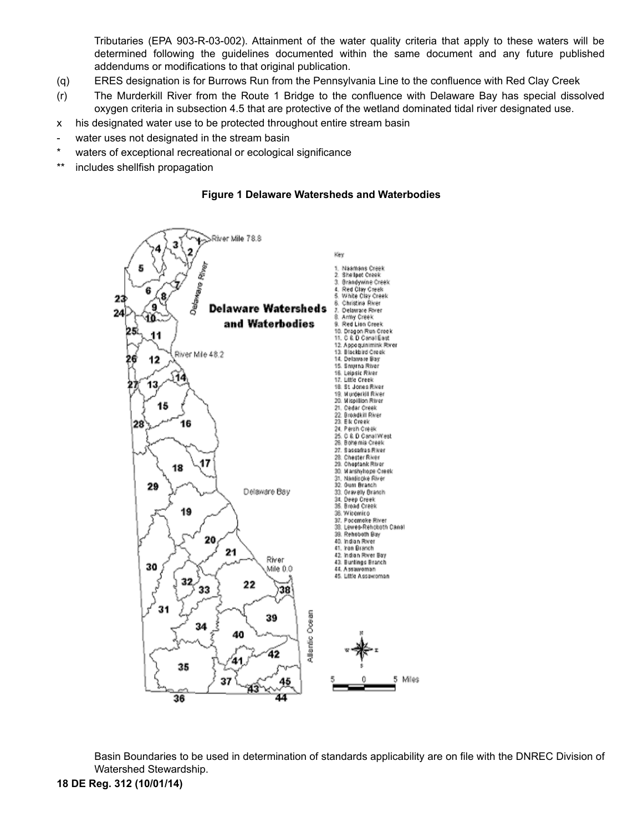Tributaries (EPA 903-R-03-002). Attainment of the water quality criteria that apply to these waters will be determined following the guidelines documented within the same document and any future published addendums or modifications to that original publication.

- (q) ERES designation is for Burrows Run from the Pennsylvania Line to the confluence with Red Clay Creek
- (r) The Murderkill River from the Route 1 Bridge to the confluence with Delaware Bay has special dissolved oxygen criteria in subsection 4.5 that are protective of the wetland dominated tidal river designated use.
- x his designated water use to be protected throughout entire stream basin
- water uses not designated in the stream basin
- waters of exceptional recreational or ecological significance
- \*\* includes shellfish propagation





Basin Boundaries to be used in determination of standards applicability are on file with the DNREC Division of Watershed Stewardship.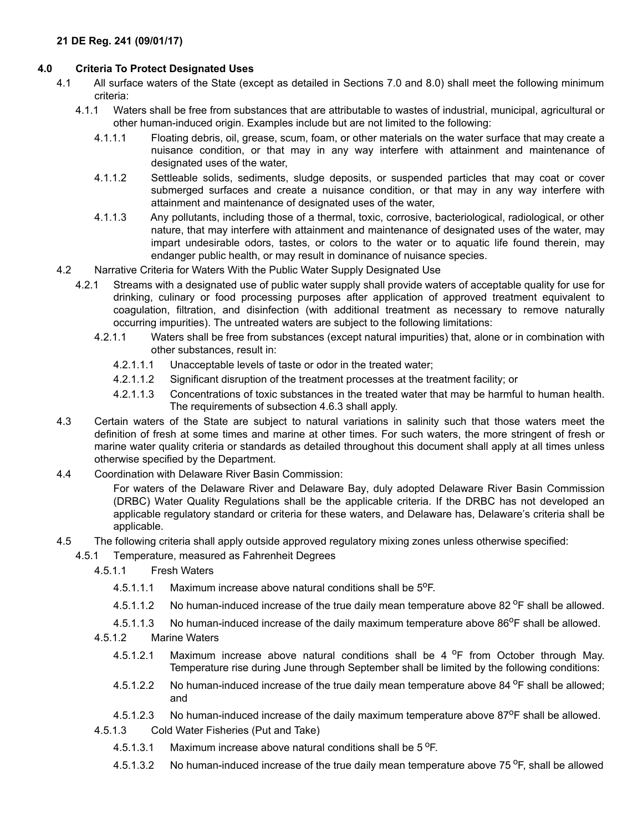# **4.0 Criteria To Protect Designated Uses**

- 4.1 All surface waters of the State (except as detailed in Sections 7.0 and 8.0) shall meet the following minimum criteria:
	- 4.1.1 Waters shall be free from substances that are attributable to wastes of industrial, municipal, agricultural or other human-induced origin. Examples include but are not limited to the following:
		- 4.1.1.1 Floating debris, oil, grease, scum, foam, or other materials on the water surface that may create a nuisance condition, or that may in any way interfere with attainment and maintenance of designated uses of the water,
		- 4.1.1.2 Settleable solids, sediments, sludge deposits, or suspended particles that may coat or cover submerged surfaces and create a nuisance condition, or that may in any way interfere with attainment and maintenance of designated uses of the water,
		- 4.1.1.3 Any pollutants, including those of a thermal, toxic, corrosive, bacteriological, radiological, or other nature, that may interfere with attainment and maintenance of designated uses of the water, may impart undesirable odors, tastes, or colors to the water or to aquatic life found therein, may endanger public health, or may result in dominance of nuisance species.
- 4.2 Narrative Criteria for Waters With the Public Water Supply Designated Use
	- 4.2.1 Streams with a designated use of public water supply shall provide waters of acceptable quality for use for drinking, culinary or food processing purposes after application of approved treatment equivalent to coagulation, filtration, and disinfection (with additional treatment as necessary to remove naturally occurring impurities). The untreated waters are subject to the following limitations:
		- 4.2.1.1 Waters shall be free from substances (except natural impurities) that, alone or in combination with other substances, result in:
			- 4.2.1.1.1 Unacceptable levels of taste or odor in the treated water;
			- 4.2.1.1.2 Significant disruption of the treatment processes at the treatment facility; or
			- 4.2.1.1.3 Concentrations of toxic substances in the treated water that may be harmful to human health. The requirements of subsection 4.6.3 shall apply.
- 4.3 Certain waters of the State are subject to natural variations in salinity such that those waters meet the definition of fresh at some times and marine at other times. For such waters, the more stringent of fresh or marine water quality criteria or standards as detailed throughout this document shall apply at all times unless otherwise specified by the Department.
- 4.4 Coordination with Delaware River Basin Commission:

For waters of the Delaware River and Delaware Bay, duly adopted Delaware River Basin Commission (DRBC) Water Quality Regulations shall be the applicable criteria. If the DRBC has not developed an applicable regulatory standard or criteria for these waters, and Delaware has, Delaware's criteria shall be applicable.

- 4.5 The following criteria shall apply outside approved regulatory mixing zones unless otherwise specified:
	- 4.5.1 Temperature, measured as Fahrenheit Degrees
		- 4.5.1.1 Fresh Waters
			- 4.5.1.1.1 Maximum increase above natural conditions shall be  $5^{\circ}$ F.
			- 4.5.1.1.2 No human-induced increase of the true daily mean temperature above 82  $\textdegree$ F shall be allowed.
		- 4.5.1.1.3 No human-induced increase of the daily maximum temperature above  $86^{\circ}$ F shall be allowed.
		- 4.5.1.2 Marine Waters
			- 4.5.1.2.1 Maximum increase above natural conditions shall be 4  $^{\circ}$ F from October through May. Temperature rise during June through September shall be limited by the following conditions:
			- 4.5.1.2.2 No human-induced increase of the true daily mean temperature above 84 <sup>o</sup>F shall be allowed; and
			- 4.5.1.2.3 No human-induced increase of the daily maximum temperature above  $87^{\circ}$ F shall be allowed.
		- 4.5.1.3 Cold Water Fisheries (Put and Take)
			- 4.5.1.3.1 Maximum increase above natural conditions shall be  $5^{\circ}$ F.
			- 4.5.1.3.2 No human-induced increase of the true daily mean temperature above 75 <sup>o</sup>F, shall be allowed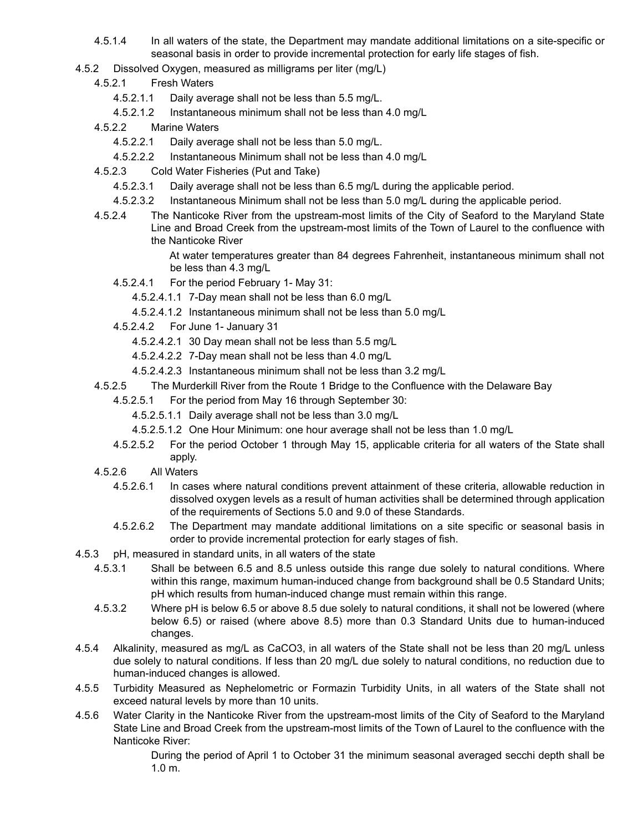- 4.5.1.4 In all waters of the state, the Department may mandate additional limitations on a site-specific or seasonal basis in order to provide incremental protection for early life stages of fish.
- 4.5.2 Dissolved Oxygen, measured as milligrams per liter (mg/L)
	- 4.5.2.1 Fresh Waters
		- 4.5.2.1.1 Daily average shall not be less than 5.5 mg/L.
		- 4.5.2.1.2 Instantaneous minimum shall not be less than 4.0 mg/L
	- 4.5.2.2 Marine Waters
		- 4.5.2.2.1 Daily average shall not be less than 5.0 mg/L.
		- 4.5.2.2.2 Instantaneous Minimum shall not be less than 4.0 mg/L
	- 4.5.2.3 Cold Water Fisheries (Put and Take)
		- 4.5.2.3.1 Daily average shall not be less than 6.5 mg/L during the applicable period.
		- 4.5.2.3.2 Instantaneous Minimum shall not be less than 5.0 mg/L during the applicable period.
	- 4.5.2.4 The Nanticoke River from the upstream-most limits of the City of Seaford to the Maryland State Line and Broad Creek from the upstream-most limits of the Town of Laurel to the confluence with the Nanticoke River

At water temperatures greater than 84 degrees Fahrenheit, instantaneous minimum shall not be less than 4.3 mg/L

- 4.5.2.4.1 For the period February 1- May 31:
	- 4.5.2.4.1.1 7-Day mean shall not be less than 6.0 mg/L
	- 4.5.2.4.1.2 Instantaneous minimum shall not be less than 5.0 mg/L
- 4.5.2.4.2 For June 1- January 31
	- 4.5.2.4.2.1 30 Day mean shall not be less than 5.5 mg/L
	- 4.5.2.4.2.2 7-Day mean shall not be less than 4.0 mg/L
	- 4.5.2.4.2.3 Instantaneous minimum shall not be less than 3.2 mg/L
- 4.5.2.5 The Murderkill River from the Route 1 Bridge to the Confluence with the Delaware Bay
	- 4.5.2.5.1 For the period from May 16 through September 30:
		- 4.5.2.5.1.1 Daily average shall not be less than 3.0 mg/L
		- 4.5.2.5.1.2 One Hour Minimum: one hour average shall not be less than 1.0 mg/L
	- 4.5.2.5.2 For the period October 1 through May 15, applicable criteria for all waters of the State shall apply.
- 4.5.2.6 All Waters
	- 4.5.2.6.1 In cases where natural conditions prevent attainment of these criteria, allowable reduction in dissolved oxygen levels as a result of human activities shall be determined through application of the requirements of Sections 5.0 and 9.0 of these Standards.
	- 4.5.2.6.2 The Department may mandate additional limitations on a site specific or seasonal basis in order to provide incremental protection for early stages of fish.
- 4.5.3 pH, measured in standard units, in all waters of the state
	- 4.5.3.1 Shall be between 6.5 and 8.5 unless outside this range due solely to natural conditions. Where within this range, maximum human-induced change from background shall be 0.5 Standard Units; pH which results from human-induced change must remain within this range.
	- 4.5.3.2 Where pH is below 6.5 or above 8.5 due solely to natural conditions, it shall not be lowered (where below 6.5) or raised (where above 8.5) more than 0.3 Standard Units due to human-induced changes.
- 4.5.4 Alkalinity, measured as mg/L as CaCO3, in all waters of the State shall not be less than 20 mg/L unless due solely to natural conditions. If less than 20 mg/L due solely to natural conditions, no reduction due to human-induced changes is allowed.
- 4.5.5 Turbidity Measured as Nephelometric or Formazin Turbidity Units, in all waters of the State shall not exceed natural levels by more than 10 units.
- 4.5.6 Water Clarity in the Nanticoke River from the upstream-most limits of the City of Seaford to the Maryland State Line and Broad Creek from the upstream-most limits of the Town of Laurel to the confluence with the Nanticoke River:

During the period of April 1 to October 31 the minimum seasonal averaged secchi depth shall be 1.0 m.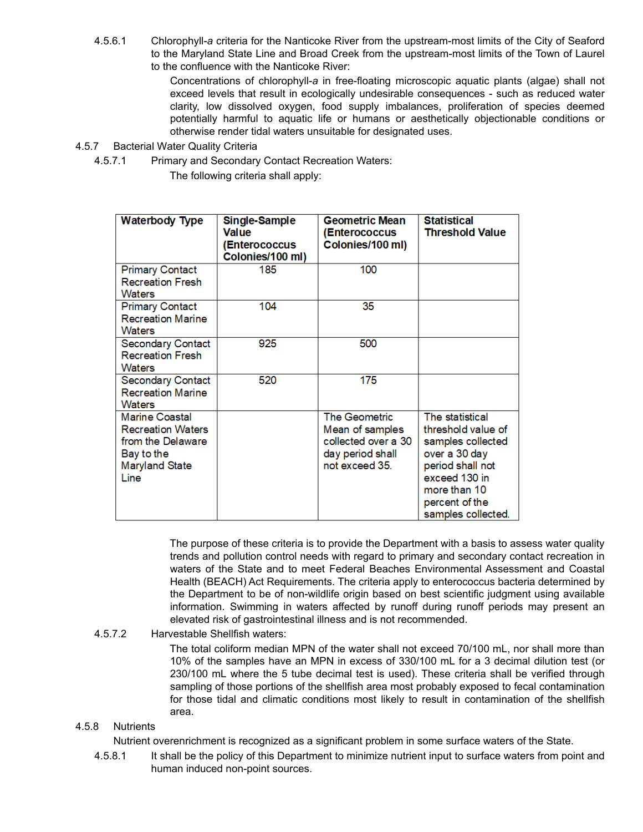4.5.6.1 Chlorophyll-*a* criteria for the Nanticoke River from the upstream-most limits of the City of Seaford to the Maryland State Line and Broad Creek from the upstream-most limits of the Town of Laurel to the confluence with the Nanticoke River:

> Concentrations of chlorophyll-*a* in free-floating microscopic aquatic plants (algae) shall not exceed levels that result in ecologically undesirable consequences - such as reduced water clarity, low dissolved oxygen, food supply imbalances, proliferation of species deemed potentially harmful to aquatic life or humans or aesthetically objectionable conditions or otherwise render tidal waters unsuitable for designated uses.

- 4.5.7 Bacterial Water Quality Criteria
	- 4.5.7.1 Primary and Secondary Contact Recreation Waters:

The following criteria shall apply:

| <b>Waterbody Type</b>                                                                                                 | Single-Sample<br>Value<br><b>(Enterococcus</b><br>Colonies/100 ml) | <b>Geometric Mean</b><br>(Enterococcus<br>Colonies/100 ml)                                           | <b>Statistical</b><br><b>Threshold Value</b>                                                                                                                             |
|-----------------------------------------------------------------------------------------------------------------------|--------------------------------------------------------------------|------------------------------------------------------------------------------------------------------|--------------------------------------------------------------------------------------------------------------------------------------------------------------------------|
| <b>Primary Contact</b><br><b>Recreation Fresh</b><br><b>Waters</b>                                                    | 185                                                                | 100                                                                                                  |                                                                                                                                                                          |
| <b>Primary Contact</b><br><b>Recreation Marine</b><br><b>Waters</b>                                                   | 104                                                                | 35                                                                                                   |                                                                                                                                                                          |
| <b>Secondary Contact</b><br><b>Recreation Fresh</b><br>Waters                                                         | 925                                                                | 500                                                                                                  |                                                                                                                                                                          |
| <b>Secondary Contact</b><br><b>Recreation Marine</b><br>Waters                                                        | 520                                                                | 175                                                                                                  |                                                                                                                                                                          |
| <b>Marine Coastal</b><br><b>Recreation Waters</b><br>from the Delaware<br>Bay to the<br><b>Maryland State</b><br>Line |                                                                    | <b>The Geometric</b><br>Mean of samples<br>collected over a 30<br>day period shall<br>not exceed 35. | The statistical<br>threshold value of<br>samples collected<br>over a 30 day<br>period shall not<br>exceed 130 in<br>more than 10<br>percent of the<br>samples collected. |

The purpose of these criteria is to provide the Department with a basis to assess water quality trends and pollution control needs with regard to primary and secondary contact recreation in waters of the State and to meet Federal Beaches Environmental Assessment and Coastal Health (BEACH) Act Requirements. The criteria apply to enterococcus bacteria determined by the Department to be of non-wildlife origin based on best scientific judgment using available information. Swimming in waters affected by runoff during runoff periods may present an elevated risk of gastrointestinal illness and is not recommended.

## 4.5.7.2 Harvestable Shellfish waters:

The total coliform median MPN of the water shall not exceed 70/100 mL, nor shall more than 10% of the samples have an MPN in excess of 330/100 mL for a 3 decimal dilution test (or 230/100 mL where the 5 tube decimal test is used). These criteria shall be verified through sampling of those portions of the shellfish area most probably exposed to fecal contamination for those tidal and climatic conditions most likely to result in contamination of the shellfish area.

## 4.5.8 Nutrients

Nutrient overenrichment is recognized as a significant problem in some surface waters of the State.

4.5.8.1 It shall be the policy of this Department to minimize nutrient input to surface waters from point and human induced non-point sources.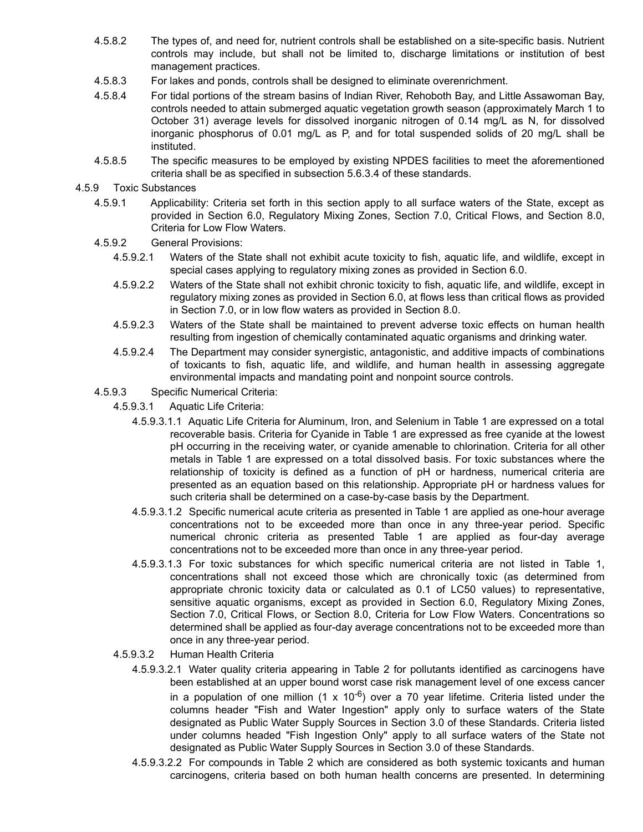- 4.5.8.2 The types of, and need for, nutrient controls shall be established on a site-specific basis. Nutrient controls may include, but shall not be limited to, discharge limitations or institution of best management practices.
- 4.5.8.3 For lakes and ponds, controls shall be designed to eliminate overenrichment.
- 4.5.8.4 For tidal portions of the stream basins of Indian River, Rehoboth Bay, and Little Assawoman Bay, controls needed to attain submerged aquatic vegetation growth season (approximately March 1 to October 31) average levels for dissolved inorganic nitrogen of 0.14 mg/L as N, for dissolved inorganic phosphorus of 0.01 mg/L as P, and for total suspended solids of 20 mg/L shall be instituted.
- 4.5.8.5 The specific measures to be employed by existing NPDES facilities to meet the aforementioned criteria shall be as specified in subsection 5.6.3.4 of these standards.
- 4.5.9 Toxic Substances
	- 4.5.9.1 Applicability: Criteria set forth in this section apply to all surface waters of the State, except as provided in Section 6.0, Regulatory Mixing Zones, Section 7.0, Critical Flows, and Section 8.0, Criteria for Low Flow Waters.
	- 4.5.9.2 General Provisions:
		- 4.5.9.2.1 Waters of the State shall not exhibit acute toxicity to fish, aquatic life, and wildlife, except in special cases applying to regulatory mixing zones as provided in Section 6.0.
		- 4.5.9.2.2 Waters of the State shall not exhibit chronic toxicity to fish, aquatic life, and wildlife, except in regulatory mixing zones as provided in Section 6.0, at flows less than critical flows as provided in Section 7.0, or in low flow waters as provided in Section 8.0.
		- 4.5.9.2.3 Waters of the State shall be maintained to prevent adverse toxic effects on human health resulting from ingestion of chemically contaminated aquatic organisms and drinking water.
		- 4.5.9.2.4 The Department may consider synergistic, antagonistic, and additive impacts of combinations of toxicants to fish, aquatic life, and wildlife, and human health in assessing aggregate environmental impacts and mandating point and nonpoint source controls.
	- 4.5.9.3 Specific Numerical Criteria:
		- 4.5.9.3.1 Aquatic Life Criteria:
			- 4.5.9.3.1.1 Aquatic Life Criteria for Aluminum, Iron, and Selenium in Table 1 are expressed on a total recoverable basis. Criteria for Cyanide in Table 1 are expressed as free cyanide at the lowest pH occurring in the receiving water, or cyanide amenable to chlorination. Criteria for all other metals in Table 1 are expressed on a total dissolved basis. For toxic substances where the relationship of toxicity is defined as a function of pH or hardness, numerical criteria are presented as an equation based on this relationship. Appropriate pH or hardness values for such criteria shall be determined on a case-by-case basis by the Department.
			- 4.5.9.3.1.2 Specific numerical acute criteria as presented in Table 1 are applied as one-hour average concentrations not to be exceeded more than once in any three-year period. Specific numerical chronic criteria as presented Table 1 are applied as four-day average concentrations not to be exceeded more than once in any three-year period.
			- 4.5.9.3.1.3 For toxic substances for which specific numerical criteria are not listed in Table 1, concentrations shall not exceed those which are chronically toxic (as determined from appropriate chronic toxicity data or calculated as 0.1 of LC50 values) to representative, sensitive aquatic organisms, except as provided in Section 6.0, Regulatory Mixing Zones, Section 7.0, Critical Flows, or Section 8.0, Criteria for Low Flow Waters. Concentrations so determined shall be applied as four-day average concentrations not to be exceeded more than once in any three-year period.
		- 4.5.9.3.2 Human Health Criteria
			- 4.5.9.3.2.1 Water quality criteria appearing in Table 2 for pollutants identified as carcinogens have been established at an upper bound worst case risk management level of one excess cancer in a population of one million  $(1 \times 10^{-6})$  over a 70 year lifetime. Criteria listed under the columns header "Fish and Water Ingestion" apply only to surface waters of the State designated as Public Water Supply Sources in Section 3.0 of these Standards. Criteria listed under columns headed "Fish Ingestion Only" apply to all surface waters of the State not designated as Public Water Supply Sources in Section 3.0 of these Standards.
			- 4.5.9.3.2.2 For compounds in Table 2 which are considered as both systemic toxicants and human carcinogens, criteria based on both human health concerns are presented. In determining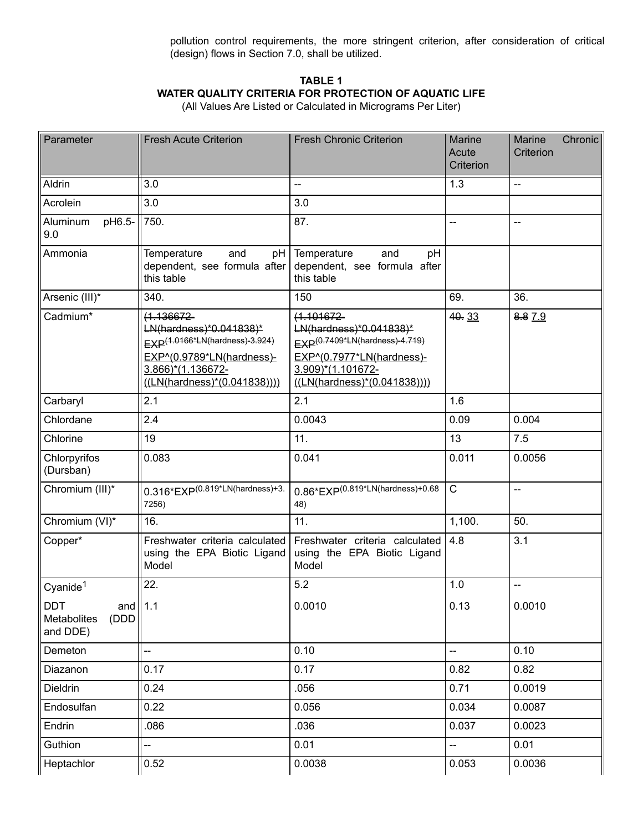pollution control requirements, the more stringent criterion, after consideration of critical (design) flows in Section 7.0, shall be utilized.

# **TABLE 1 WATER QUALITY CRITERIA FOR PROTECTION OF AQUATIC LIFE**

(All Values Are Listed or Calculated in Micrograms Per Liter)

| Parameter                                                     | <b>Fresh Acute Criterion</b>                                                                                                                                               | <b>Fresh Chronic Criterion</b>                                                                                                                                 | <b>Marine</b><br>Acute<br>Criterion | Chronic<br>Marine<br>Criterion |
|---------------------------------------------------------------|----------------------------------------------------------------------------------------------------------------------------------------------------------------------------|----------------------------------------------------------------------------------------------------------------------------------------------------------------|-------------------------------------|--------------------------------|
| Aldrin                                                        | 3.0                                                                                                                                                                        | --                                                                                                                                                             | $\overline{1.3}$                    | L.                             |
| Acrolein                                                      | 3.0                                                                                                                                                                        | 3.0                                                                                                                                                            |                                     |                                |
| pH6.5-<br>Aluminum<br>9.0                                     | 750.                                                                                                                                                                       | 87.                                                                                                                                                            |                                     | --                             |
| Ammonia                                                       | Temperature<br>and<br>pH  <br>dependent, see formula after<br>this table                                                                                                   | Temperature<br>and<br>pH<br>dependent, see formula after<br>this table                                                                                         |                                     |                                |
| Arsenic (III)*                                                | 340.                                                                                                                                                                       | 150                                                                                                                                                            | 69.                                 | 36.                            |
| Cadmium*                                                      | $(1.136672 -$<br>LN(hardness)*0.041838)*<br>EXP <sup>(1.0166*LN(hardness)-3.924)</sup><br>EXP^(0.9789*LN(hardness)-<br>3.866)*(1.136672-<br>$((LN(hardness)*(0.041838))))$ | $(1.101672 -$<br>LN(hardness)*0.041838)*<br>EXP(0.7409*LN(hardness)-4.719)<br>EXP^(0.7977*LN(hardness)-<br>3.909)*(1.101672-<br>$((LN(hardness)*(0.041838))))$ | 40.33                               | 8.87.9                         |
| Carbaryl                                                      | 2.1                                                                                                                                                                        | 2.1                                                                                                                                                            | 1.6                                 |                                |
| Chlordane                                                     | 2.4                                                                                                                                                                        | 0.0043                                                                                                                                                         | 0.09                                | 0.004                          |
| Chlorine                                                      | 19                                                                                                                                                                         | 11.                                                                                                                                                            | 13                                  | 7.5                            |
| Chlorpyrifos<br>(Dursban)                                     | 0.083                                                                                                                                                                      | 0.041                                                                                                                                                          | 0.011                               | 0.0056                         |
| Chromium (III)*                                               | $0.316*$ EXP $(0.819*$ LN $(hardness)$ +3.<br>7256)                                                                                                                        | $0.86*$ EXP $(0.819*$ LN $(hardness)+0.68$<br>48)                                                                                                              | $\mathsf{C}$                        | цü                             |
| Chromium (VI)*                                                | 16.                                                                                                                                                                        | 11.                                                                                                                                                            | 1,100.                              | 50.                            |
| Copper*                                                       | Freshwater criteria calculated<br>using the EPA Biotic Ligand<br>Model                                                                                                     | Freshwater criteria calculated<br>using the EPA Biotic Ligand<br>Model                                                                                         | 4.8                                 | 3.1                            |
| Cyanide <sup>1</sup>                                          | 22.                                                                                                                                                                        | 5.2                                                                                                                                                            | 1.0                                 | --                             |
| <b>DDT</b><br>and $\ $ 1.1<br>(DDD<br>Metabolites<br>and DDE) |                                                                                                                                                                            | 0.0010                                                                                                                                                         | 0.13                                | 0.0010                         |
| Demeton                                                       | Щ,                                                                                                                                                                         | 0.10                                                                                                                                                           | Ш.                                  | 0.10                           |
| Diazanon                                                      | 0.17                                                                                                                                                                       | 0.17                                                                                                                                                           | 0.82                                | 0.82                           |
| Dieldrin                                                      | 0.24                                                                                                                                                                       | .056                                                                                                                                                           | 0.71                                | 0.0019                         |
| Endosulfan                                                    | 0.22                                                                                                                                                                       | 0.056                                                                                                                                                          | 0.034                               | 0.0087                         |
| Endrin                                                        | .086                                                                                                                                                                       | .036                                                                                                                                                           | 0.037                               | 0.0023                         |
| Guthion                                                       | -−                                                                                                                                                                         | 0.01                                                                                                                                                           | --                                  | 0.01                           |
| Heptachlor                                                    | 0.52                                                                                                                                                                       | 0.0038                                                                                                                                                         | 0.053                               | 0.0036                         |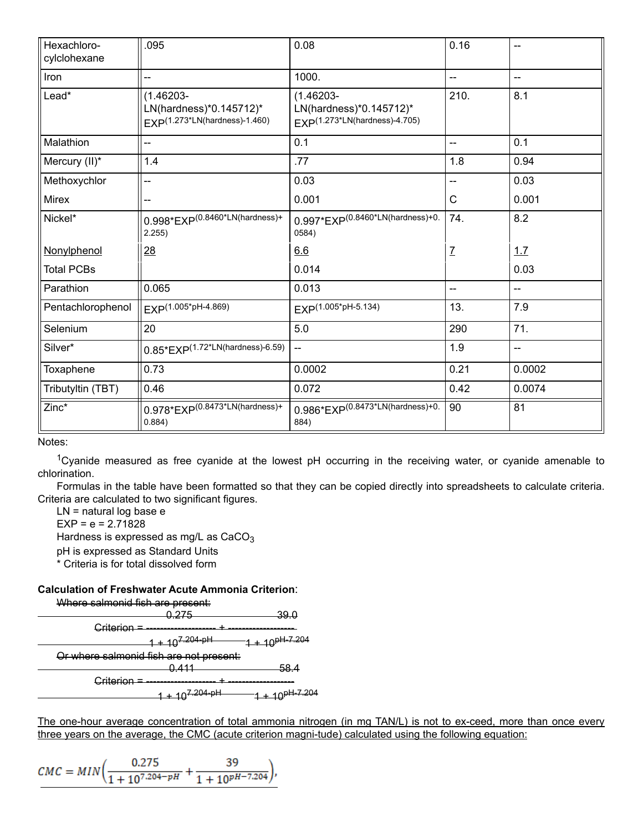| Hexachloro-<br>cylclohexane | .095                                                                                 | 0.08                                                                                 | 0.16          | $-$    |
|-----------------------------|--------------------------------------------------------------------------------------|--------------------------------------------------------------------------------------|---------------|--------|
| Iron                        | --                                                                                   | 1000.                                                                                | --            | --     |
| Lead*                       | $(1.46203 -$<br>LN(hardness)*0.145712)*<br>EXP <sup>(1.273*LN(hardness)-1.460)</sup> | $(1.46203 -$<br>LN(hardness)*0.145712)*<br>EXP <sup>(1.273*LN(hardness)-4.705)</sup> | 210.          | 8.1    |
| Malathion                   | --                                                                                   | 0.1                                                                                  | $-$           | 0.1    |
| Mercury (II)*               | 1.4                                                                                  | .77                                                                                  | 1.8           | 0.94   |
| Methoxychlor                | --                                                                                   | 0.03                                                                                 | --            | 0.03   |
| <b>Mirex</b>                |                                                                                      | 0.001                                                                                | C             | 0.001  |
| Nickel*                     | $0.998*EXP^{(0.8460*LN(hardness)+}$<br>2.255)                                        | $0.997*EXP^{(0.8460*LN(hardness)+0.$<br>0584)                                        | 74.           | 8.2    |
| Nonylphenol                 | 28                                                                                   | 6.6                                                                                  | $\mathcal{I}$ | 1.7    |
| <b>Total PCBs</b>           |                                                                                      | 0.014                                                                                |               | 0.03   |
| Parathion                   | 0.065                                                                                | 0.013                                                                                | --            | --     |
| Pentachlorophenol           | EXP(1.005*pH-4.869)                                                                  | EXP(1.005*pH-5.134)                                                                  | 13.           | 7.9    |
| Selenium                    | 20                                                                                   | 5.0                                                                                  | 290           | 71.    |
| Silver*                     | $0.85*EXP(1.72*LN(hardness)-6.59)$                                                   | $\overline{\phantom{a}}$                                                             | 1.9           | --     |
| Toxaphene                   | 0.73                                                                                 | 0.0002                                                                               | 0.21          | 0.0002 |
| Tributyltin (TBT)           | 0.46                                                                                 | 0.072                                                                                | 0.42          | 0.0074 |
| Zinc*                       | $0.978*$ EXP $(0.8473*$ LN $(hardness)+$<br>0.884)                                   | $0.986*$ EXP $(0.8473*LN($ hardness $)+0.$<br>884)                                   | 90            | 81     |

Notes:

<sup>1</sup>Cyanide measured as free cyanide at the lowest pH occurring in the receiving water, or cyanide amenable to chlorination.

Formulas in the table have been formatted so that they can be copied directly into spreadsheets to calculate criteria. Criteria are calculated to two significant figures.

LN = natural log base e

 $EXP = e = 2.71828$ 

Hardness is expressed as mg/L as  $CaCO<sub>3</sub>$ 

pH is expressed as Standard Units

\* Criteria is for total dissolved form

## **Calculation of Freshwater Acute Ammonia Criterion**:



The one-hour average concentration of total ammonia nitrogen (in mg TAN/L) is not to ex-ceed, more than once every three years on the average, the CMC (acute criterion magni-tude) calculated using the following equation:

$$
CMC = MIN \bigg(\frac{0.275}{1+10^{7.204-pH}} + \frac{39}{1+10^{pH-7.204}}\bigg),
$$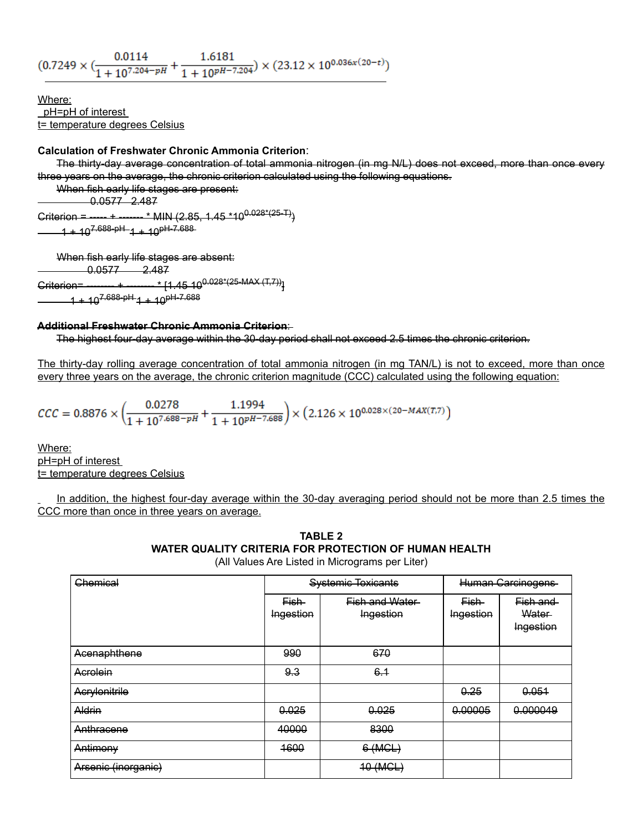$(0.7249\times (\frac{0.0114}{1+10^{7.204-pH}}+\frac{1.6181}{1+10^{pH-7.204}})\times (23.12\times 10^{0.036x(20-t)})$ 

Where: pH=pH of interest t= temperature degrees Celsius

#### **Calculation of Freshwater Chronic Ammonia Criterion**:

The thirty-day average concentration of total ammonia nitrogen (in mg N/L) does not exceed, more than once every three years on the average, the chronic criterion calculated using the following equations.

When fish early life stages are present:

 $-0.0577$  2.487

Criterion = ----- + ------- \* MIN (2.85, 1.45 \*10<sup>0.028\*(25-T)</sup>)  $-1 + 10^{7.688 - pH} -1 + 10^{pH-7.688 - p}$ 

When fish early life stages are absent:  $0.0577 - 2.487$ 

 $\frac{1}{2}$ Criterion= -------- + -------- \*  $\{1.45\,10^{0.028*(25\text{-MAX (T,7)})}\}$  $1 + 10^{7.688 - pH}1 + 10^{pH-7.688}$ 

#### **Additional Freshwater Chronic Ammonia Criterion**:

The highest four-day average within the 30-day period shall not exceed 2.5 times the chronic criterion.

The thirty-day rolling average concentration of total ammonia nitrogen (in mg TAN/L) is not to exceed, more than once every three years on the average, the chronic criterion magnitude (CCC) calculated using the following equation:

$$
\mathit{CCC}=0.8876\times\left(\frac{0.0278}{1+10^{7.688-pH}}+\frac{1.1994}{1+10^{pH-7.688}}\right)\times\left(2.126\times10^{0.028\times(20-MAX(T,7)}\right)
$$

Where: pH=pH of interest t= temperature degrees Celsius

In addition, the highest four-day average within the 30-day averaging period should not be more than 2.5 times the CCC more than once in three years on average.

| TABLE 2                                               |  |  |  |  |  |
|-------------------------------------------------------|--|--|--|--|--|
| WATER QUALITY CRITERIA FOR PROTECTION OF HUMAN HEALTH |  |  |  |  |  |
| $(A   \lambda_{\alpha} )$                             |  |  |  |  |  |

(All Values Are Listed in Micrograms per Liter)

| Chemical            | <b>Systemic Toxicants</b> |                                    | <b>Human Carcinogens</b> |                                 |
|---------------------|---------------------------|------------------------------------|--------------------------|---------------------------------|
|                     | Fish-<br>Ingestion        | <b>Fish and Water</b><br>Ingestion | Fish-<br>Ingestion       | Fish and<br>Water-<br>Ingestion |
| Acenaphthene        | 990                       | 670                                |                          |                                 |
| Acrolein            | 9.3                       | 6.1                                |                          |                                 |
| Acrylonitrile       |                           |                                    | 0.25                     | 0.051                           |
| Aldrin              | 0.025                     | 0.025                              | 0.00005                  | 0.000049                        |
| Anthracene          | 40000                     | 8300                               |                          |                                 |
| Antimony            | 4600                      | 6 (MCL)                            |                          |                                 |
| Arsenic (inorganic) |                           | 10 (MCL)                           |                          |                                 |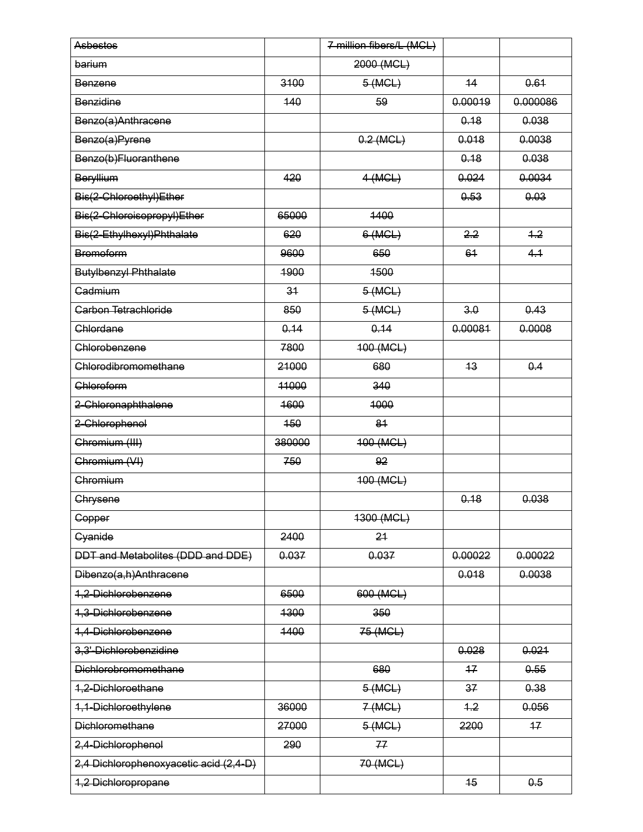| <b>Asbestos</b>                        |        | 7 million fibers/L (MCL) |         |          |
|----------------------------------------|--------|--------------------------|---------|----------|
| barium                                 |        | 2000 (MCL)               |         |          |
| Benzene                                | 3100   | 5 (MCL)                  | 44      | 0.61     |
| Benzidine                              | 140    | 59                       | 0.00019 | 0.000086 |
| Benzo(a)Anthracene                     |        |                          | 0.18    | 0.038    |
| Benzo(a)Pyrene                         |        | $0.2$ (MCL)              | 0.018   | 0.0038   |
| Benzo(b)Fluoranthene                   |        |                          | 0.18    | 0.038    |
| Beryllium                              | 420    | $4$ (MCL)                | 0.024   | 0.0034   |
| Bis(2-Chloroethyl)Ether                |        |                          | 0.53    | 0.03     |
| Bis(2-Chloroisopropyl)Ether            | 65000  | 1400                     |         |          |
| Bis(2-Ethylhexyl)Phthalate             | 620    | 6 (MCL)                  | 2.2     | 4.2      |
| <b>Bromoform</b>                       | 9600   | 650                      | 61      | 4.1      |
| <b>Butylbenzyl Phthalate</b>           | 1900   | 1500                     |         |          |
| Cadmium                                | 34     | 5 (MCL)                  |         |          |
| Carbon Tetrachloride                   | 850    | 5 (MCL)                  | 3.0     | 0.43     |
| Chlordane                              | 0.14   | 0.14                     | 0.00081 | 0.0008   |
| Chlorobenzene                          | 7800   | 400 (MCL)                |         |          |
| Chlorodibromomethane                   | 21000  | 680                      | 43      | 0.4      |
| Chloroform                             | 44000  | 340                      |         |          |
| 2-Chloronaphthalene                    | 1600   | 4000                     |         |          |
| 2-Chlorophenol                         | 450    | 81                       |         |          |
| Chromium (III)                         | 380000 | 400 (MCL)                |         |          |
| Chromium (VI)                          | 750    | 92                       |         |          |
| Chromium                               |        | 400 (MCL)                |         |          |
| Chrysene                               |        |                          | 0.18    | 0.038    |
| Copper                                 |        | 4300 (MCL)               |         |          |
| Cyanide                                | 2400   | 24                       |         |          |
| DDT and Metabolites (DDD and DDE)      | 0.037  | 0.037                    | 0.00022 | 0.00022  |
| Dibenzo(a,h)Anthracene                 |        |                          | 0.018   | 0.0038   |
| 1,2-Dichlorobenzene                    | 6500   | 600 (MCL)                |         |          |
| 1,3-Dichlorobenzene                    | 1300   | 350                      |         |          |
| 1,4-Dichlorobenzene                    | 1400   | 75 (MCL)                 |         |          |
| 3,3'-Dichlorobenzidine                 |        |                          | 0.028   | 0.021    |
| Dichlorobromomethane                   |        | 680                      | 47      | 0.55     |
| 1,2-Dichloroethane                     |        | 5 (MCL)                  | 37      | 0.38     |
| 1,1-Dichloroethylene                   | 36000  | 7(MCL)                   | $+2$    | 0.056    |
| <b>Dichloromethane</b>                 | 27000  | 5 (MCL)                  | 2200    | $+7$     |
| 2,4-Dichlorophenol                     | 290    | 77                       |         |          |
| 2,4 Dichlorophenoxyacetic acid (2,4-D) |        | 70 (MCL)                 |         |          |
| 1,2 Dichloropropane                    |        |                          | 45      | 0.5      |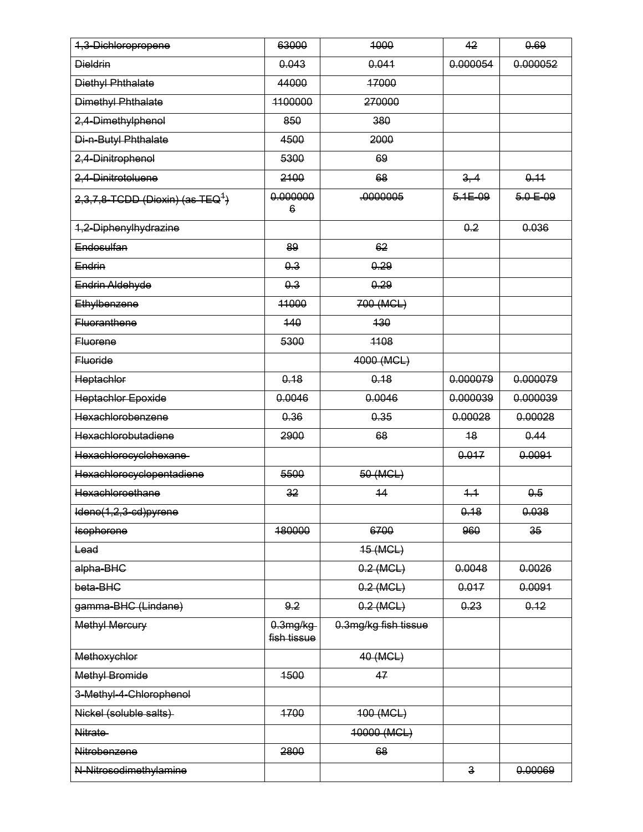| 1,3-Dichloropropene                             | 63000                               | 1000                 | 42              | 0.69             |
|-------------------------------------------------|-------------------------------------|----------------------|-----------------|------------------|
| <b>Dieldrin</b>                                 | 0.043                               | 0.044                | 0.000054        | 0.000052         |
| Diethyl Phthalate                               | 44000                               | 47000                |                 |                  |
| Dimethyl Phthalate                              | 1100000                             | 270000               |                 |                  |
| 2,4-Dimethylphenol                              | 850                                 | 380                  |                 |                  |
| Di-n-Butyl Phthalate                            | 4500                                | 2000                 |                 |                  |
| 2,4-Dinitrophenol                               | 5300                                | 69                   |                 |                  |
| 2,4-Dinitrotoluene                              | 2100                                | 68                   | 3, 4            | 0.11             |
| $2,3,7,8$ -TCDD (Dioxin)-(as-TEQ <sup>1</sup> ) | 0.000000<br>6                       | .0000005             | $5.1E - 09$     | $5.0 E - 09$     |
| 1,2-Diphenylhydrazine                           |                                     |                      | 0.2             | 0.036            |
| Endosulfan                                      | 89                                  | 62                   |                 |                  |
| Endrin                                          | 0.3                                 | 0.29                 |                 |                  |
| Endrin Aldehyde                                 | 0.3                                 | 0.29                 |                 |                  |
| Ethylbenzene                                    | 11000                               | 700 (MCL)            |                 |                  |
| <b>Fluoranthene</b>                             | 440                                 | 130                  |                 |                  |
| <b>Eluorene</b>                                 | 5300                                | 1108                 |                 |                  |
| <b>Fluoride</b>                                 |                                     | 4000 (MCL)           |                 |                  |
| Heptachlor                                      | 0.18                                | 0.18                 | 0.000079        | 0.000079         |
| <b>Heptachlor Epoxide</b>                       | 0.0046                              | 0.0046               | 0.000039        | 0.000039         |
| Hexachlorobenzene                               | 0.36                                | 0.35                 | 0.00028         | 0.00028          |
| Hexachlorobutadiene                             | 2900                                | 68                   | 48              | 0.44             |
| Hexachlorocyclohexane-                          |                                     |                      | 0.017           | 0.0091           |
| Hexachlorocyclopentadiene                       | 5500                                | 50 (MCL)             |                 |                  |
| Hexachloroethane                                | 32                                  | 14                   | 4.4             | 0.5              |
| Ideno(1,2,3-cd)pyrene                           |                                     |                      | <del>0.18</del> | <del>0.038</del> |
| Isophorone                                      | 180000                              | 6700                 | 960             | 35 <sub>2</sub>  |
| <del>Lead</del>                                 |                                     | 45 (MCL)             |                 |                  |
| alpha-BHC                                       |                                     | $0.2$ (MCL)          | 0.0048          | 0.0026           |
| beta-BHC                                        |                                     | $0.2$ (MCL)          | 0.017           | 0.0091           |
| gamma-BHC (Lindane)                             | 9.2                                 | $0.2$ (MCL)          | 0.23            | 0.12             |
| <b>Methyl Mercury</b>                           | 0.3 <sub>mg/kg</sub><br>fish tissue | 0.3mg/kg fish tissue |                 |                  |
| Methoxychlor                                    |                                     | 40 (MCL)             |                 |                  |
| <b>Methyl Bromide</b>                           | 1500                                | 47                   |                 |                  |
| 3-Methyl-4-Chlorophenol                         |                                     |                      |                 |                  |
| Nickel (soluble salts)                          | 1700                                | 400 (MCL)            |                 |                  |
| Nitrate-                                        |                                     | 40000 (MCL)          |                 |                  |
| Nitrobenzene                                    | 2800                                | 68                   |                 |                  |
| N-Nitrosodimethylamine                          |                                     |                      | $\overline{3}$  | 0.00069          |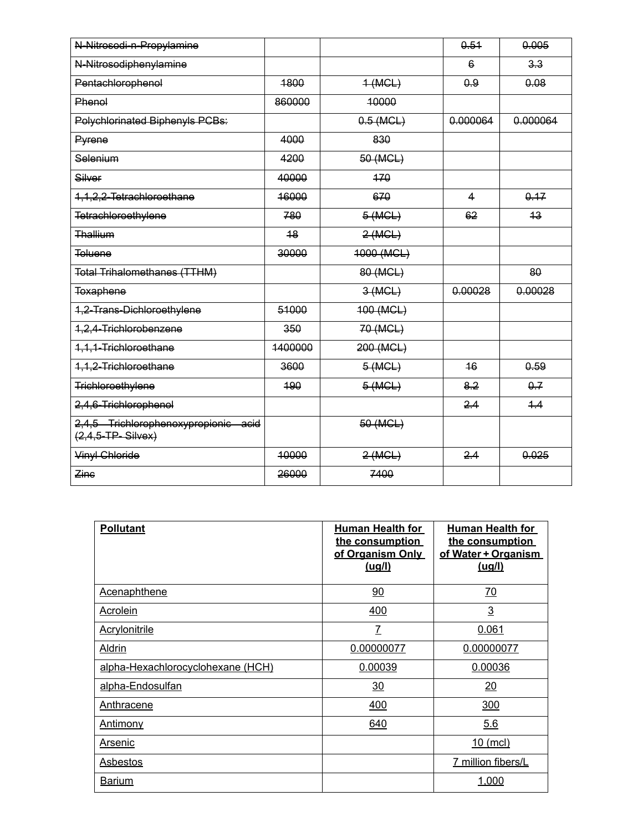| N-Nitrosodi-n-Propylamine                                   |         |             | 0.51                    | 0.005    |
|-------------------------------------------------------------|---------|-------------|-------------------------|----------|
| N-Nitrosodiphenylamine                                      |         |             | $6 \overline{6}$        | 3.3      |
| Pentachlorophenol                                           | 1800    | $+$ (MCL)   | 0.9                     | 0.08     |
| Phenol                                                      | 860000  | 10000       |                         |          |
| Polychlorinated Biphenyls PCBs:                             |         | $0.5$ (MCL) | 0.000064                | 0.000064 |
| Pyrene                                                      | 4000    | 830         |                         |          |
| Selenium                                                    | 4200    | 50 (MCL)    |                         |          |
| Silver                                                      | 40000   | 470         |                         |          |
| 1,1,2,2-Tetrachloroethane                                   | 16000   | 670         | $\overline{\mathbf{A}}$ | 0.17     |
| Tetrachloroethylene                                         | 780     | 5 (MCL)     | 62                      | 43       |
| Thallium                                                    | 48      | 2(MCL)      |                         |          |
| <b>Toluene</b>                                              | 30000   | 4000 (MCL)  |                         |          |
| Total Trihalomethanes (TTHM)                                |         | 80 (MCL)    |                         | 80       |
| Toxaphene                                                   |         | 3(MCL)      | 0.00028                 | 0.00028  |
| 1,2-Trans-Dichloroethylene                                  | 51000   | 400 (MCL)   |                         |          |
| 1,2,4-Trichlorobenzene                                      | 350     | 70 (MCL)    |                         |          |
| 1,1,1-Trichloroethane                                       | 1400000 | 200 (MCL)   |                         |          |
| 1,1,2-Trichloroethane                                       | 3600    | 5 (MCL)     | 46                      | 0.59     |
| Trichloroethylene                                           | 190     | 5 (MCL)     | 8.2                     | 0.7      |
| 2,4,6-Trichlorophenol                                       |         |             | 2.4                     | 4.4      |
| 2,4,5 Trichlorophenoxypropionic acid<br>$(2,4,5-TP-Silvex)$ |         | 50 (MCL)    |                         |          |
| Vinyl Chloride                                              | 40000   | 2(MCL)      | 2.4                     | 0.025    |
| Zine                                                        | 26000   | 7400        |                         |          |

| <b>Pollutant</b>                  | <b>Human Health for</b><br>the consumption<br>of Organism Only<br><u>(uq/l)</u> | <b>Human Health for</b><br>the consumption<br>of Water + Organism<br><u>(ug/l)</u> |
|-----------------------------------|---------------------------------------------------------------------------------|------------------------------------------------------------------------------------|
| <b>Acenaphthene</b>               | 90                                                                              | <u>70</u>                                                                          |
| <b>Acrolein</b>                   | 400                                                                             | $\overline{3}$                                                                     |
| <b>Acrylonitrile</b>              | $\mathcal{I}$                                                                   | 0.061                                                                              |
| <b>Aldrin</b>                     | 0.00000077                                                                      | 0.00000077                                                                         |
| alpha-Hexachlorocyclohexane (HCH) | 0.00039                                                                         | 0.00036                                                                            |
| alpha-Endosulfan                  | 30                                                                              | 20                                                                                 |
| Anthracene                        | 400                                                                             | 300                                                                                |
| <u>Antimony</u>                   | 640                                                                             | 5.6                                                                                |
| <u>Arsenic</u>                    |                                                                                 | 10 (mcl)                                                                           |
| Asbestos                          |                                                                                 | 7 million fibers/L                                                                 |
| <b>Barium</b>                     |                                                                                 | 1,000                                                                              |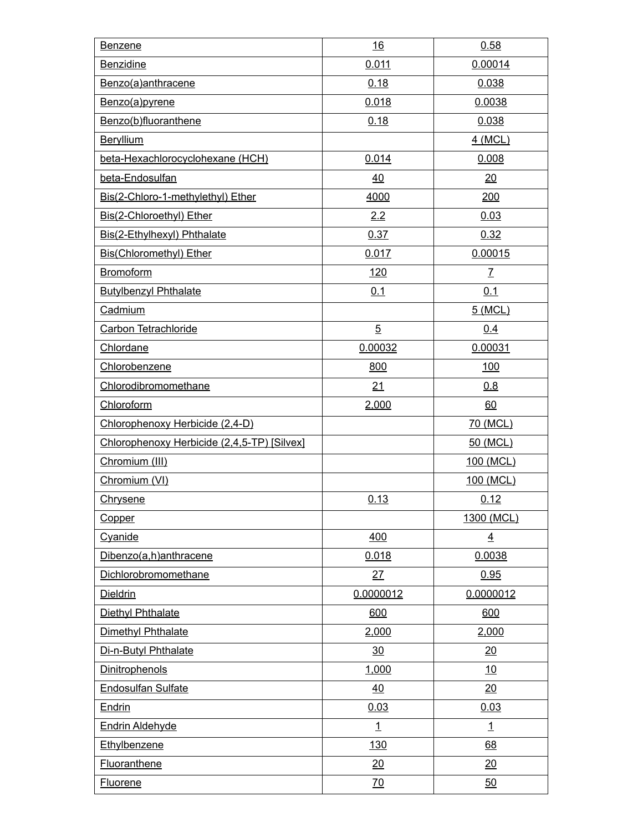| <b>Benzene</b>                              | 16             | 0.58           |
|---------------------------------------------|----------------|----------------|
| <b>Benzidine</b>                            | 0.011          | 0.00014        |
| Benzo(a)anthracene                          | 0.18           | 0.038          |
| Benzo(a)pyrene                              | 0.018          | 0.0038         |
| Benzo(b)fluoranthene                        | 0.18           | 0.038          |
| <b>Beryllium</b>                            |                | 4 (MCL)        |
| beta-Hexachlorocyclohexane (HCH)            | 0.014          | 0.008          |
| beta-Endosulfan                             | 40             | 20             |
| Bis(2-Chloro-1-methylethyl) Ether           | 4000           | 200            |
| Bis(2-Chloroethyl) Ether                    | 2.2            | 0.03           |
| Bis(2-Ethylhexyl) Phthalate                 | 0.37           | 0.32           |
| <b>Bis(Chloromethyl) Ether</b>              | 0.017          | 0.00015        |
| Bromoform                                   | <u>120</u>     | $\mathcal{I}$  |
| <b>Butylbenzyl Phthalate</b>                | 0.1            | 0.1            |
| Cadmium                                     |                | 5 (MCL)        |
| Carbon Tetrachloride                        | $\overline{5}$ | 0.4            |
| Chlordane                                   | 0.00032        | 0.00031        |
| Chlorobenzene                               | 800            | 100            |
| Chlorodibromomethane                        | 21             | 0.8            |
| Chloroform                                  | 2,000          | 60             |
| Chlorophenoxy Herbicide (2,4-D)             |                | 70 (MCL)       |
| Chlorophenoxy Herbicide (2,4,5-TP) [Silvex] |                | 50 (MCL)       |
| Chromium (III)                              |                | 100 (MCL)      |
| Chromium (VI)                               |                | 100 (MCL)      |
| Chrysene                                    | 0.13           | 0.12           |
| Copper                                      |                | 1300 (MCL)     |
| Cyanide                                     | 400            | $\overline{4}$ |
| Dibenzo(a,h)anthracene                      | 0.018          | 0.0038         |
| Dichlorobromomethane                        | 27             | 0.95           |
| <b>Dieldrin</b>                             | 0.0000012      | 0.0000012      |
| Diethyl Phthalate                           | 600            | 600            |
| Dimethyl Phthalate                          | 2,000          | 2,000          |
| Di-n-Butyl Phthalate                        | 30             | 20             |
| <b>Dinitrophenols</b>                       | 1,000          | 10             |
| <b>Endosulfan Sulfate</b>                   | 40             | 20             |
| <b>Endrin</b>                               | 0.03           | 0.03           |
| Endrin Aldehyde                             | $\overline{1}$ | $\overline{1}$ |
| Ethylbenzene                                | <u>130</u>     | 68             |
| <b>Fluoranthene</b>                         | 20             | 20             |
| <b>Fluorene</b>                             | <u>70</u>      | 50             |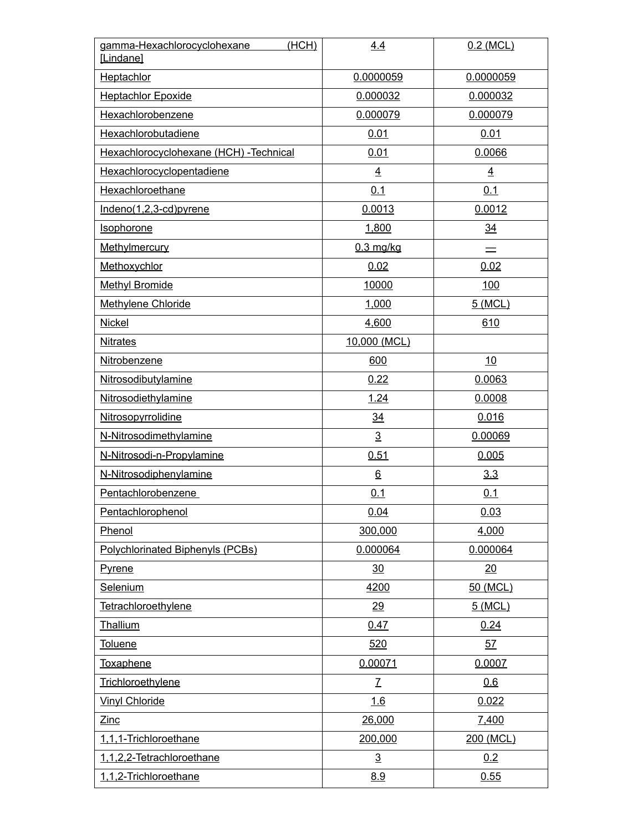| gamma-Hexachlorocyclohexane<br>(HCH)<br>[Lindane] | 4.4              | $0.2$ (MCL)    |
|---------------------------------------------------|------------------|----------------|
| Heptachlor                                        | 0.0000059        | 0.0000059      |
| <b>Heptachlor Epoxide</b>                         | 0.000032         | 0.000032       |
| Hexachlorobenzene                                 | 0.000079         | 0.000079       |
| Hexachlorobutadiene                               | 0.01             | 0.01           |
| Hexachlorocyclohexane (HCH) - Technical           | 0.01             | 0.0066         |
| Hexachlorocyclopentadiene                         | $\overline{4}$   | $\overline{4}$ |
| Hexachloroethane                                  | 0.1              | 0.1            |
| Indeno(1,2,3-cd)pyrene                            | 0.0013           | 0.0012         |
| Isophorone                                        | 1,800            | 34             |
| Methylmercury                                     | $0.3$ mg/kg      |                |
| Methoxychlor                                      | 0.02             | 0.02           |
| <b>Methyl Bromide</b>                             | 10000            | 100            |
| Methylene Chloride                                | 1,000            | 5 (MCL)        |
| <b>Nickel</b>                                     | 4,600            | 610            |
| <b>Nitrates</b>                                   | 10,000 (MCL)     |                |
| Nitrobenzene                                      | 600              | 10             |
| Nitrosodibutylamine                               | 0.22             | 0.0063         |
| Nitrosodiethylamine                               | 1.24             | 0.0008         |
| Nitrosopyrrolidine                                | $\underline{34}$ | 0.016          |
| N-Nitrosodimethylamine                            | $\overline{3}$   | 0.00069        |
| N-Nitrosodi-n-Propylamine                         | 0.51             | 0.005          |
| N-Nitrosodiphenylamine                            | $\underline{6}$  | 3.3            |
| Pentachlorobenzene                                | 0.1              | 0.1            |
| Pentachlorophenol                                 | 0.04             | 0.03           |
| Phenol                                            | 300,000          | 4,000          |
| Polychlorinated Biphenyls (PCBs)                  | 0.000064         | 0.000064       |
| <b>Pyrene</b>                                     | 30               | 20             |
| <b>Selenium</b>                                   | 4200             | 50 (MCL)       |
| Tetrachloroethylene                               | 29               | 5 (MCL)        |
| Thallium                                          | 0.47             | 0.24           |
| <b>Toluene</b>                                    | 520              | 57             |
| Toxaphene                                         | 0.00071          | 0.0007         |
| Trichloroethylene                                 | $\overline{L}$   | 0.6            |
| <b>Vinyl Chloride</b>                             | 1.6              | 0.022          |
| $\mathsf{Zinc}$                                   | 26,000           | 7,400          |
| 1,1,1-Trichloroethane                             | 200,000          | 200 (MCL)      |
| 1,1,2,2-Tetrachloroethane                         | $\overline{3}$   | 0.2            |
| 1,1,2-Trichloroethane                             | 8.9              | 0.55           |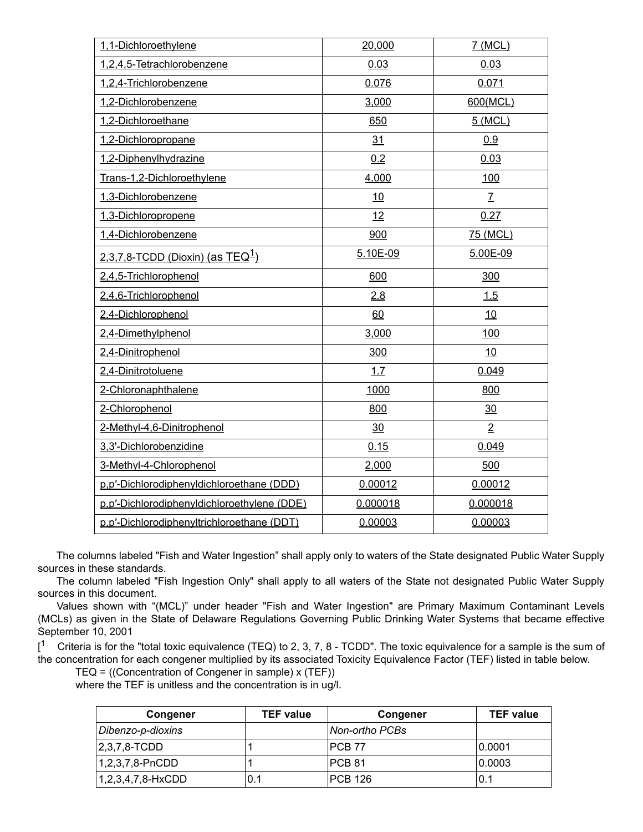| 1,1-Dichloroethylene                            | 20,000   | 7 (MCL)         |
|-------------------------------------------------|----------|-----------------|
| 1,2,4,5-Tetrachlorobenzene                      | 0.03     | 0.03            |
| 1,2,4-Trichlorobenzene                          | 0.076    | 0.071           |
| 1,2-Dichlorobenzene                             | 3,000    | 600(MCL)        |
| 1,2-Dichloroethane                              | 650      | 5 (MCL)         |
| 1,2-Dichloropropane                             | 31       | 0.9             |
| 1,2-Diphenylhydrazine                           | 0.2      | 0.03            |
| Trans-1,2-Dichloroethylene                      | 4,000    | 100             |
| 1,3-Dichlorobenzene                             | 10       | $\underline{7}$ |
| 1,3-Dichloropropene                             | 12       | 0.27            |
| 1,4-Dichlorobenzene                             | 900      | 75 (MCL)        |
| $2.3.7.8$ -TCDD (Dioxin) (as TEQ <sup>1</sup> ) | 5.10E-09 | 5.00E-09        |
| 2,4,5-Trichlorophenol                           | 600      | 300             |
| 2,4,6-Trichlorophenol                           | 2.8      | 1.5             |
| 2,4-Dichlorophenol                              | 60       | 10              |
| 2,4-Dimethylphenol                              | 3,000    | 100             |
| 2,4-Dinitrophenol                               | 300      | 10              |
| 2,4-Dinitrotoluene                              | 1.7      | 0.049           |
| 2-Chloronaphthalene                             | 1000     | 800             |
| 2-Chlorophenol                                  | 800      | 30              |
| 2-Methyl-4,6-Dinitrophenol                      | 30       | $\overline{2}$  |
| 3,3'-Dichlorobenzidine                          | 0.15     | 0.049           |
| 3-Methyl-4-Chlorophenol                         | 2,000    | 500             |
| p.p'-Dichlorodiphenyldichloroethane (DDD)       | 0.00012  | 0.00012         |
| p.p'-Dichlorodiphenyldichloroethylene (DDE)     | 0.000018 | 0.000018        |
| p.p'-Dichlorodiphenyltrichloroethane (DDT)      | 0.00003  | 0.00003         |

The columns labeled "Fish and Water Ingestion" shall apply only to waters of the State designated Public Water Supply sources in these standards.

The column labeled "Fish Ingestion Only" shall apply to all waters of the State not designated Public Water Supply sources in this document.

Values shown with "(MCL)" under header "Fish and Water Ingestion" are Primary Maximum Contaminant Levels (MCLs) as given in the State of Delaware Regulations Governing Public Drinking Water Systems that became effective September 10, 2001

 $\mathsf{I}^1$ Criteria is for the "total toxic equivalence (TEQ) to 2, 3, 7, 8 - TCDD". The toxic equivalence for a sample is the sum of the concentration for each congener multiplied by its associated Toxicity Equivalence Factor (TEF) listed in table below.

TEQ = ((Concentration of Congener in sample) x (TEF))

where the TEF is unitless and the concentration is in ug/l.

| <b>Congener</b>     | <b>TEF value</b> | Congener       | <b>TEF value</b> |
|---------------------|------------------|----------------|------------------|
| Dibenzo-p-dioxins   |                  | Non-ortho PCBs |                  |
| $ 2,3,7,8$ -TCDD    |                  | IPCB 77        | 10.0001          |
| $1,2,3,7,8-PnCDD$   |                  | IPCB 81        | 10.0003          |
| $1,2,3,4,7,8-HxCDD$ | 0.1              | IPCB 126       | 0.1              |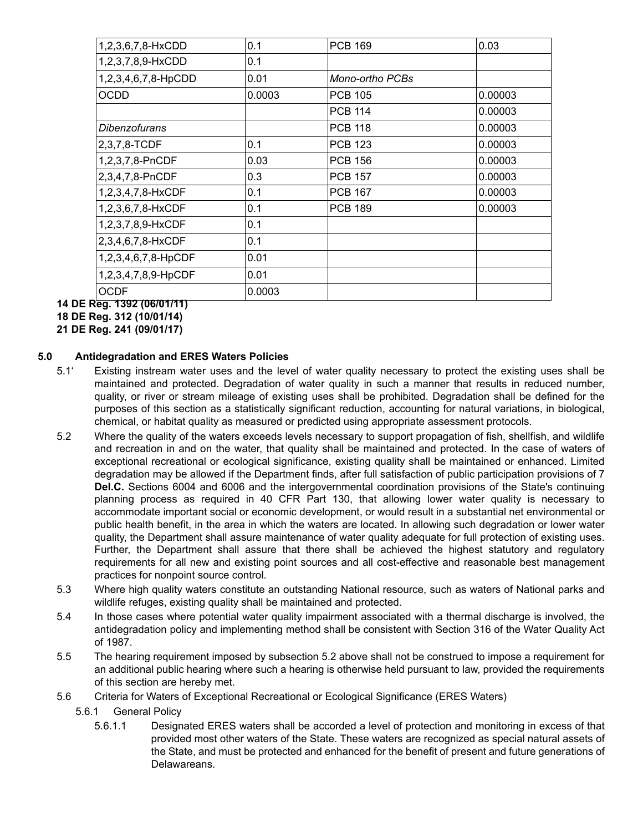| 1,2,3,6,7,8-HxCDD    | 0.1    | <b>PCB 169</b>  | 0.03    |
|----------------------|--------|-----------------|---------|
| 1,2,3,7,8,9-HxCDD    | 0.1    |                 |         |
| 1,2,3,4,6,7,8-HpCDD  | 0.01   | Mono-ortho PCBs |         |
| <b>OCDD</b>          | 0.0003 | <b>PCB 105</b>  | 0.00003 |
|                      |        | <b>PCB 114</b>  | 0.00003 |
| <i>Dibenzofurans</i> |        | <b>PCB 118</b>  | 0.00003 |
| 2,3,7,8-TCDF         | 0.1    | <b>PCB 123</b>  | 0.00003 |
| 1,2,3,7,8-PnCDF      | 0.03   | <b>PCB 156</b>  | 0.00003 |
| 2,3,4,7,8-PnCDF      | 0.3    | <b>PCB 157</b>  | 0.00003 |
| 1,2,3,4,7,8-HxCDF    | 0.1    | <b>PCB 167</b>  | 0.00003 |
| 1,2,3,6,7,8-HxCDF    | 0.1    | <b>PCB 189</b>  | 0.00003 |
| 1,2,3,7,8,9-HxCDF    | 0.1    |                 |         |
| 2,3,4,6,7,8-HxCDF    | 0.1    |                 |         |
| 1,2,3,4,6,7,8-HpCDF  | 0.01   |                 |         |
| 1,2,3,4,7,8,9-HpCDF  | 0.01   |                 |         |
| <b>OCDF</b>          | 0.0003 |                 |         |

**14 DE Reg. 1392 (06/01/11)**

**18 DE Reg. 312 (10/01/14)**

**21 DE Reg. 241 (09/01/17)**

## **5.0 Antidegradation and ERES Waters Policies**

- 5.1' Existing instream water uses and the level of water quality necessary to protect the existing uses shall be maintained and protected. Degradation of water quality in such a manner that results in reduced number, quality, or river or stream mileage of existing uses shall be prohibited. Degradation shall be defined for the purposes of this section as a statistically significant reduction, accounting for natural variations, in biological, chemical, or habitat quality as measured or predicted using appropriate assessment protocols.
- 5.2 Where the quality of the waters exceeds levels necessary to support propagation of fish, shellfish, and wildlife and recreation in and on the water, that quality shall be maintained and protected. In the case of waters of exceptional recreational or ecological significance, existing quality shall be maintained or enhanced. Limited degradation may be allowed if the Department finds, after full satisfaction of public participation provisions of 7 **Del.C.** Sections 6004 and 6006 and the intergovernmental coordination provisions of the State's continuing planning process as required in 40 CFR Part 130, that allowing lower water quality is necessary to accommodate important social or economic development, or would result in a substantial net environmental or public health benefit, in the area in which the waters are located. In allowing such degradation or lower water quality, the Department shall assure maintenance of water quality adequate for full protection of existing uses. Further, the Department shall assure that there shall be achieved the highest statutory and regulatory requirements for all new and existing point sources and all cost-effective and reasonable best management practices for nonpoint source control.
- 5.3 Where high quality waters constitute an outstanding National resource, such as waters of National parks and wildlife refuges, existing quality shall be maintained and protected.
- 5.4 In those cases where potential water quality impairment associated with a thermal discharge is involved, the antidegradation policy and implementing method shall be consistent with Section 316 of the Water Quality Act of 1987.
- 5.5 The hearing requirement imposed by subsection 5.2 above shall not be construed to impose a requirement for an additional public hearing where such a hearing is otherwise held pursuant to law, provided the requirements of this section are hereby met.
- 5.6 Criteria for Waters of Exceptional Recreational or Ecological Significance (ERES Waters)
	- 5.6.1 General Policy
		- 5.6.1.1 Designated ERES waters shall be accorded a level of protection and monitoring in excess of that provided most other waters of the State. These waters are recognized as special natural assets of the State, and must be protected and enhanced for the benefit of present and future generations of **Delawareans**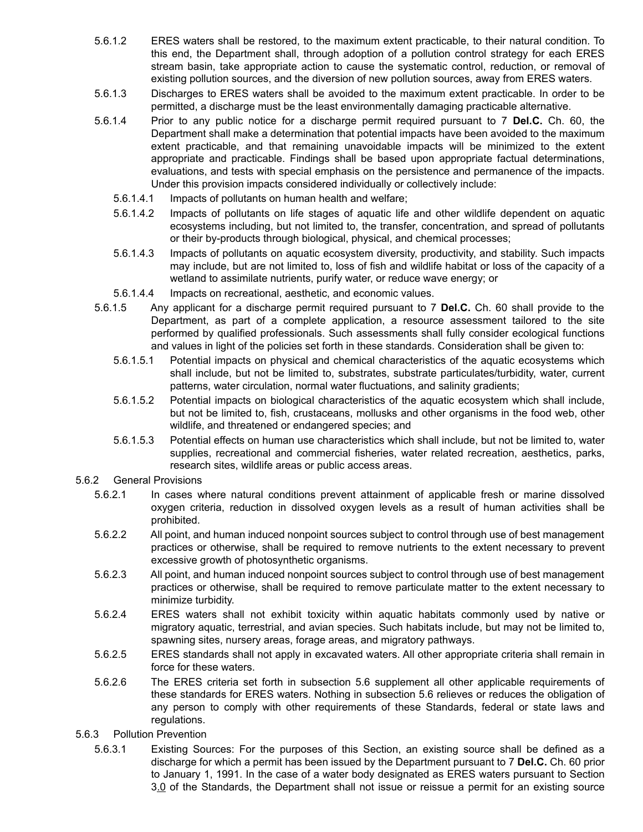- 5.6.1.2 ERES waters shall be restored, to the maximum extent practicable, to their natural condition. To this end, the Department shall, through adoption of a pollution control strategy for each ERES stream basin, take appropriate action to cause the systematic control, reduction, or removal of existing pollution sources, and the diversion of new pollution sources, away from ERES waters.
- 5.6.1.3 Discharges to ERES waters shall be avoided to the maximum extent practicable. In order to be permitted, a discharge must be the least environmentally damaging practicable alternative.
- 5.6.1.4 Prior to any public notice for a discharge permit required pursuant to 7 **Del.C.** Ch. 60, the Department shall make a determination that potential impacts have been avoided to the maximum extent practicable, and that remaining unavoidable impacts will be minimized to the extent appropriate and practicable. Findings shall be based upon appropriate factual determinations, evaluations, and tests with special emphasis on the persistence and permanence of the impacts. Under this provision impacts considered individually or collectively include:
	- 5.6.1.4.1 Impacts of pollutants on human health and welfare;
	- 5.6.1.4.2 Impacts of pollutants on life stages of aquatic life and other wildlife dependent on aquatic ecosystems including, but not limited to, the transfer, concentration, and spread of pollutants or their by-products through biological, physical, and chemical processes;
	- 5.6.1.4.3 Impacts of pollutants on aquatic ecosystem diversity, productivity, and stability. Such impacts may include, but are not limited to, loss of fish and wildlife habitat or loss of the capacity of a wetland to assimilate nutrients, purify water, or reduce wave energy; or
	- 5.6.1.4.4 Impacts on recreational, aesthetic, and economic values.
- 5.6.1.5 Any applicant for a discharge permit required pursuant to 7 **Del.C.** Ch. 60 shall provide to the Department, as part of a complete application, a resource assessment tailored to the site performed by qualified professionals. Such assessments shall fully consider ecological functions and values in light of the policies set forth in these standards. Consideration shall be given to:
	- 5.6.1.5.1 Potential impacts on physical and chemical characteristics of the aquatic ecosystems which shall include, but not be limited to, substrates, substrate particulates/turbidity, water, current patterns, water circulation, normal water fluctuations, and salinity gradients;
	- 5.6.1.5.2 Potential impacts on biological characteristics of the aquatic ecosystem which shall include, but not be limited to, fish, crustaceans, mollusks and other organisms in the food web, other wildlife, and threatened or endangered species; and
	- 5.6.1.5.3 Potential effects on human use characteristics which shall include, but not be limited to, water supplies, recreational and commercial fisheries, water related recreation, aesthetics, parks, research sites, wildlife areas or public access areas.
- 5.6.2 General Provisions
	- 5.6.2.1 In cases where natural conditions prevent attainment of applicable fresh or marine dissolved oxygen criteria, reduction in dissolved oxygen levels as a result of human activities shall be prohibited.
	- 5.6.2.2 All point, and human induced nonpoint sources subject to control through use of best management practices or otherwise, shall be required to remove nutrients to the extent necessary to prevent excessive growth of photosynthetic organisms.
	- 5.6.2.3 All point, and human induced nonpoint sources subject to control through use of best management practices or otherwise, shall be required to remove particulate matter to the extent necessary to minimize turbidity.
	- 5.6.2.4 ERES waters shall not exhibit toxicity within aquatic habitats commonly used by native or migratory aquatic, terrestrial, and avian species. Such habitats include, but may not be limited to, spawning sites, nursery areas, forage areas, and migratory pathways.
	- 5.6.2.5 ERES standards shall not apply in excavated waters. All other appropriate criteria shall remain in force for these waters.
	- 5.6.2.6 The ERES criteria set forth in subsection 5.6 supplement all other applicable requirements of these standards for ERES waters. Nothing in subsection 5.6 relieves or reduces the obligation of any person to comply with other requirements of these Standards, federal or state laws and regulations.
- 5.6.3 Pollution Prevention
	- 5.6.3.1 Existing Sources: For the purposes of this Section, an existing source shall be defined as a discharge for which a permit has been issued by the Department pursuant to 7 **Del.C.** Ch. 60 prior to January 1, 1991. In the case of a water body designated as ERES waters pursuant to Section 3.0 of the Standards, the Department shall not issue or reissue a permit for an existing source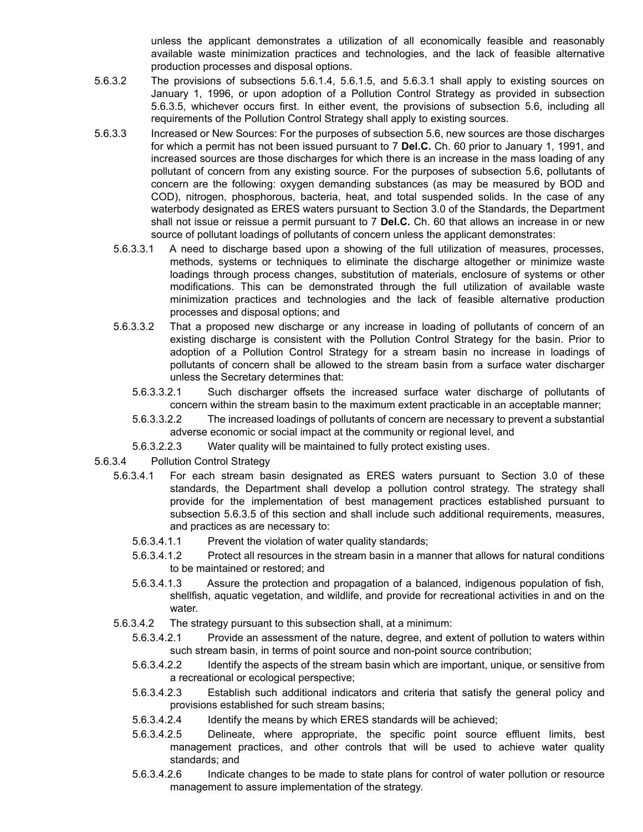unless the applicant demonstrates a utilization of all economically feasible and reasonably available waste minimization practices and technologies, and the lack of feasible alternative production processes and disposal options.

- 5.6.3.2 The provisions of subsections 5.6.1.4, 5.6.1.5, and 5.6.3.1 shall apply to existing sources on January 1, 1996, or upon adoption of a Pollution Control Strategy as provided in subsection 5.6.3.5, whichever occurs first. In either event, the provisions of subsection 5.6, including all requirements of the Pollution Control Strategy shall apply to existing sources.
- 5.6.3.3 Increased or New Sources: For the purposes of subsection 5.6, new sources are those discharges for which a permit has not been issued pursuant to 7 **Del.C.** Ch. 60 prior to January 1, 1991, and increased sources are those discharges for which there is an increase in the mass loading of any pollutant of concern from any existing source. For the purposes of subsection 5.6, pollutants of concern are the following: oxygen demanding substances (as may be measured by BOD and COD), nitrogen, phosphorous, bacteria, heat, and total suspended solids. In the case of any waterbody designated as ERES waters pursuant to Section 3.0 of the Standards, the Department shall not issue or reissue a permit pursuant to 7 **Del.C.** Ch. 60 that allows an increase in or new source of pollutant loadings of pollutants of concern unless the applicant demonstrates:
	- 5.6.3.3.1 A need to discharge based upon a showing of the full utilization of measures, processes, methods, systems or techniques to eliminate the discharge altogether or minimize waste loadings through process changes, substitution of materials, enclosure of systems or other modifications. This can be demonstrated through the full utilization of available waste minimization practices and technologies and the lack of feasible alternative production processes and disposal options; and
	- 5.6.3.3.2 That a proposed new discharge or any increase in loading of pollutants of concern of an existing discharge is consistent with the Pollution Control Strategy for the basin. Prior to adoption of a Pollution Control Strategy for a stream basin no increase in loadings of pollutants of concern shall be allowed to the stream basin from a surface water discharger unless the Secretary determines that:
		- 5.6.3.3.2.1 Such discharger offsets the increased surface water discharge of pollutants of concern within the stream basin to the maximum extent practicable in an acceptable manner;
		- 5.6.3.3.2.2 The increased loadings of pollutants of concern are necessary to prevent a substantial adverse economic or social impact at the community or regional level, and
		- 5.6.3.2.2.3 Water quality will be maintained to fully protect existing uses.
- 5.6.3.4 Pollution Control Strategy
	- 5.6.3.4.1 For each stream basin designated as ERES waters pursuant to Section 3.0 of these standards, the Department shall develop a pollution control strategy. The strategy shall provide for the implementation of best management practices established pursuant to subsection 5.6.3.5 of this section and shall include such additional requirements, measures, and practices as are necessary to:
		- 5.6.3.4.1.1 Prevent the violation of water quality standards;
		- 5.6.3.4.1.2 Protect all resources in the stream basin in a manner that allows for natural conditions to be maintained or restored; and
		- 5.6.3.4.1.3 Assure the protection and propagation of a balanced, indigenous population of fish, shellfish, aquatic vegetation, and wildlife, and provide for recreational activities in and on the water.
	- 5.6.3.4.2 The strategy pursuant to this subsection shall, at a minimum:
		- 5.6.3.4.2.1 Provide an assessment of the nature, degree, and extent of pollution to waters within such stream basin, in terms of point source and non-point source contribution;
		- 5.6.3.4.2.2 Identify the aspects of the stream basin which are important, unique, or sensitive from a recreational or ecological perspective;
		- 5.6.3.4.2.3 Establish such additional indicators and criteria that satisfy the general policy and provisions established for such stream basins;
		- 5.6.3.4.2.4 Identify the means by which ERES standards will be achieved;
		- 5.6.3.4.2.5 Delineate, where appropriate, the specific point source effluent limits, best management practices, and other controls that will be used to achieve water quality standards; and
		- 5.6.3.4.2.6 Indicate changes to be made to state plans for control of water pollution or resource management to assure implementation of the strategy.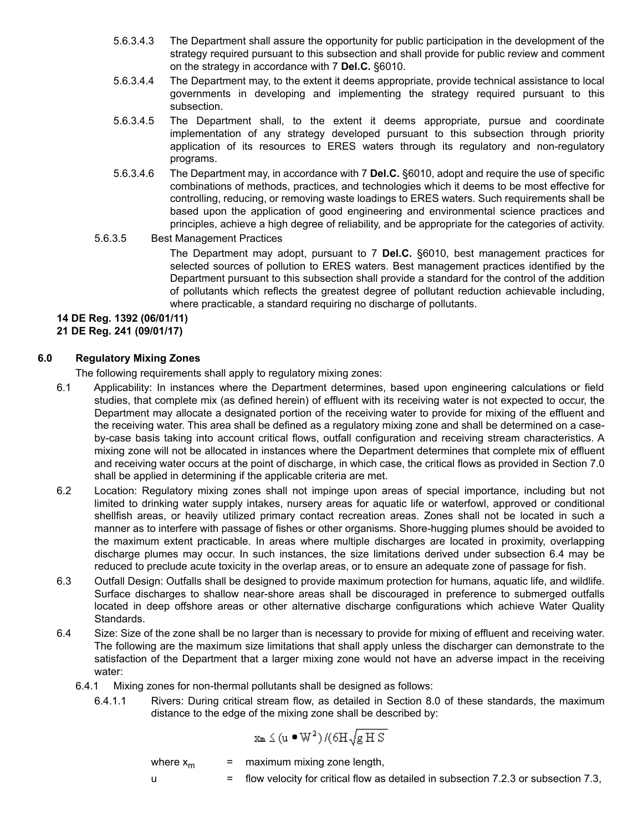- 5.6.3.4.3 The Department shall assure the opportunity for public participation in the development of the strategy required pursuant to this subsection and shall provide for public review and comment on the strategy in accordance with 7 **Del.C.** §6010.
- 5.6.3.4.4 The Department may, to the extent it deems appropriate, provide technical assistance to local governments in developing and implementing the strategy required pursuant to this subsection.
- 5.6.3.4.5 The Department shall, to the extent it deems appropriate, pursue and coordinate implementation of any strategy developed pursuant to this subsection through priority application of its resources to ERES waters through its regulatory and non-regulatory programs.
- 5.6.3.4.6 The Department may, in accordance with 7 **Del.C.** §6010, adopt and require the use of specific combinations of methods, practices, and technologies which it deems to be most effective for controlling, reducing, or removing waste loadings to ERES waters. Such requirements shall be based upon the application of good engineering and environmental science practices and principles, achieve a high degree of reliability, and be appropriate for the categories of activity.

## 5.6.3.5 Best Management Practices

The Department may adopt, pursuant to 7 **Del.C.** §6010, best management practices for selected sources of pollution to ERES waters. Best management practices identified by the Department pursuant to this subsection shall provide a standard for the control of the addition of pollutants which reflects the greatest degree of pollutant reduction achievable including, where practicable, a standard requiring no discharge of pollutants.

# **14 DE Reg. 1392 (06/01/11)**

**21 DE Reg. 241 (09/01/17)**

## **6.0 Regulatory Mixing Zones**

The following requirements shall apply to regulatory mixing zones:

- 6.1 Applicability: In instances where the Department determines, based upon engineering calculations or field studies, that complete mix (as defined herein) of effluent with its receiving water is not expected to occur, the Department may allocate a designated portion of the receiving water to provide for mixing of the effluent and the receiving water. This area shall be defined as a regulatory mixing zone and shall be determined on a caseby-case basis taking into account critical flows, outfall configuration and receiving stream characteristics. A mixing zone will not be allocated in instances where the Department determines that complete mix of effluent and receiving water occurs at the point of discharge, in which case, the critical flows as provided in Section 7.0 shall be applied in determining if the applicable criteria are met.
- 6.2 Location: Regulatory mixing zones shall not impinge upon areas of special importance, including but not limited to drinking water supply intakes, nursery areas for aquatic life or waterfowl, approved or conditional shellfish areas, or heavily utilized primary contact recreation areas. Zones shall not be located in such a manner as to interfere with passage of fishes or other organisms. Shore-hugging plumes should be avoided to the maximum extent practicable. In areas where multiple discharges are located in proximity, overlapping discharge plumes may occur. In such instances, the size limitations derived under subsection 6.4 may be reduced to preclude acute toxicity in the overlap areas, or to ensure an adequate zone of passage for fish.
- 6.3 Outfall Design: Outfalls shall be designed to provide maximum protection for humans, aquatic life, and wildlife. Surface discharges to shallow near-shore areas shall be discouraged in preference to submerged outfalls located in deep offshore areas or other alternative discharge configurations which achieve Water Quality Standards.
- 6.4 Size: Size of the zone shall be no larger than is necessary to provide for mixing of effluent and receiving water. The following are the maximum size limitations that shall apply unless the discharger can demonstrate to the satisfaction of the Department that a larger mixing zone would not have an adverse impact in the receiving water:
	- 6.4.1 Mixing zones for non-thermal pollutants shall be designed as follows:
		- 6.4.1.1 Rivers: During critical stream flow, as detailed in Section 8.0 of these standards, the maximum distance to the edge of the mixing zone shall be described by:

$$
x_{\text{m}} \leq (u \bullet W^2) \, / (\delta H \sqrt{g \, H \, S}
$$

where  $x_m$  = maximum mixing zone length, u = flow velocity for critical flow as detailed in subsection 7.2.3 or subsection 7.3,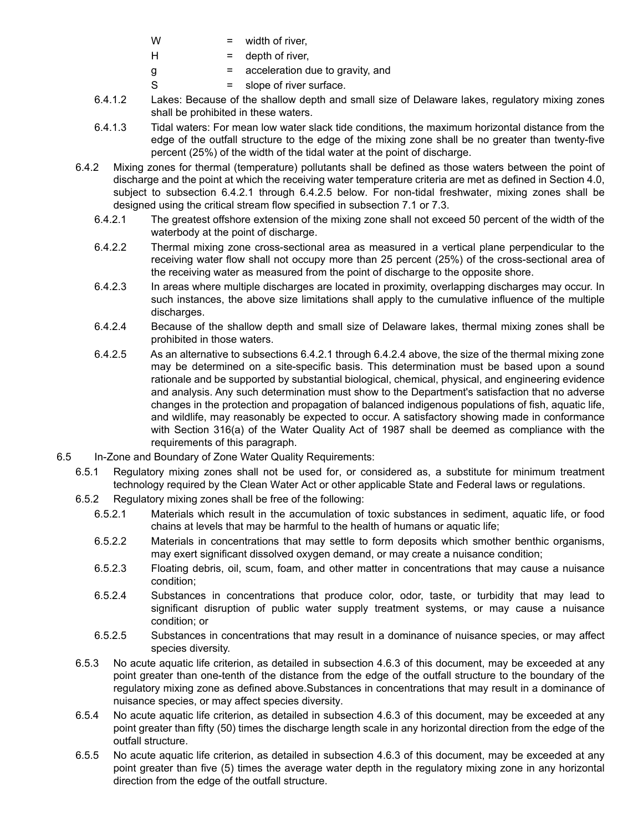- $W =$  width of river,
- $H =$  depth of river,
- $g =$  acceleration due to gravity, and
- $S = slope of river surface.$
- 6.4.1.2 Lakes: Because of the shallow depth and small size of Delaware lakes, regulatory mixing zones shall be prohibited in these waters.
- 6.4.1.3 Tidal waters: For mean low water slack tide conditions, the maximum horizontal distance from the edge of the outfall structure to the edge of the mixing zone shall be no greater than twenty-five percent (25%) of the width of the tidal water at the point of discharge.
- 6.4.2 Mixing zones for thermal (temperature) pollutants shall be defined as those waters between the point of discharge and the point at which the receiving water temperature criteria are met as defined in Section 4.0, subject to subsection 6.4.2.1 through 6.4.2.5 below. For non-tidal freshwater, mixing zones shall be designed using the critical stream flow specified in subsection 7.1 or 7.3.
	- 6.4.2.1 The greatest offshore extension of the mixing zone shall not exceed 50 percent of the width of the waterbody at the point of discharge.
	- 6.4.2.2 Thermal mixing zone cross-sectional area as measured in a vertical plane perpendicular to the receiving water flow shall not occupy more than 25 percent (25%) of the cross-sectional area of the receiving water as measured from the point of discharge to the opposite shore.
	- 6.4.2.3 In areas where multiple discharges are located in proximity, overlapping discharges may occur. In such instances, the above size limitations shall apply to the cumulative influence of the multiple discharges.
	- 6.4.2.4 Because of the shallow depth and small size of Delaware lakes, thermal mixing zones shall be prohibited in those waters.
	- 6.4.2.5 As an alternative to subsections 6.4.2.1 through 6.4.2.4 above, the size of the thermal mixing zone may be determined on a site-specific basis. This determination must be based upon a sound rationale and be supported by substantial biological, chemical, physical, and engineering evidence and analysis. Any such determination must show to the Department's satisfaction that no adverse changes in the protection and propagation of balanced indigenous populations of fish, aquatic life, and wildlife, may reasonably be expected to occur. A satisfactory showing made in conformance with Section 316(a) of the Water Quality Act of 1987 shall be deemed as compliance with the requirements of this paragraph.
- 6.5 In-Zone and Boundary of Zone Water Quality Requirements:
	- 6.5.1 Regulatory mixing zones shall not be used for, or considered as, a substitute for minimum treatment technology required by the Clean Water Act or other applicable State and Federal laws or regulations.
	- 6.5.2 Regulatory mixing zones shall be free of the following:
		- 6.5.2.1 Materials which result in the accumulation of toxic substances in sediment, aquatic life, or food chains at levels that may be harmful to the health of humans or aquatic life;
		- 6.5.2.2 Materials in concentrations that may settle to form deposits which smother benthic organisms, may exert significant dissolved oxygen demand, or may create a nuisance condition;
		- 6.5.2.3 Floating debris, oil, scum, foam, and other matter in concentrations that may cause a nuisance condition;
		- 6.5.2.4 Substances in concentrations that produce color, odor, taste, or turbidity that may lead to significant disruption of public water supply treatment systems, or may cause a nuisance condition; or
		- 6.5.2.5 Substances in concentrations that may result in a dominance of nuisance species, or may affect species diversity.
	- 6.5.3 No acute aquatic life criterion, as detailed in subsection 4.6.3 of this document, may be exceeded at any point greater than one-tenth of the distance from the edge of the outfall structure to the boundary of the regulatory mixing zone as defined above.Substances in concentrations that may result in a dominance of nuisance species, or may affect species diversity.
	- 6.5.4 No acute aquatic life criterion, as detailed in subsection 4.6.3 of this document, may be exceeded at any point greater than fifty (50) times the discharge length scale in any horizontal direction from the edge of the outfall structure.
	- 6.5.5 No acute aquatic life criterion, as detailed in subsection 4.6.3 of this document, may be exceeded at any point greater than five (5) times the average water depth in the regulatory mixing zone in any horizontal direction from the edge of the outfall structure.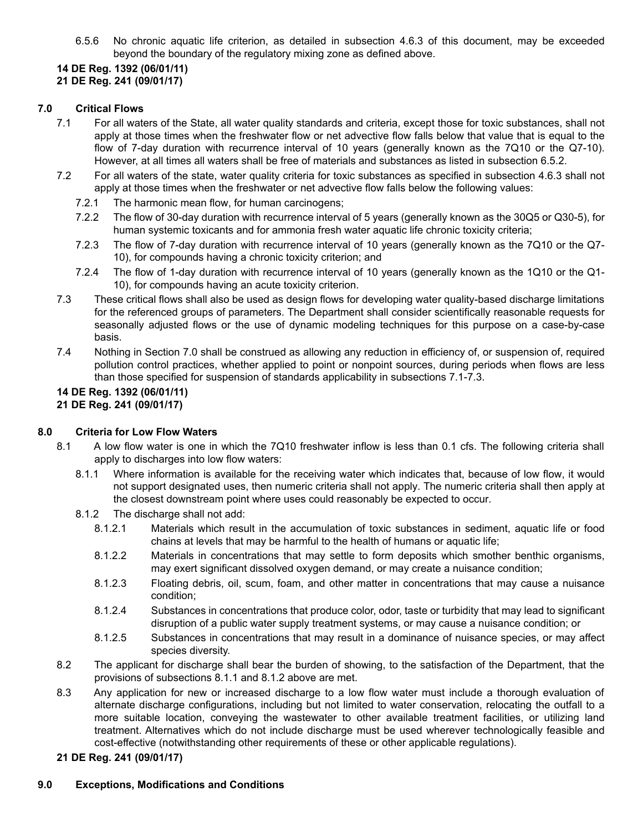6.5.6 No chronic aquatic life criterion, as detailed in subsection 4.6.3 of this document, may be exceeded beyond the boundary of the regulatory mixing zone as defined above.

# **14 DE Reg. 1392 (06/01/11)**

# **21 DE Reg. 241 (09/01/17)**

# **7.0 Critical Flows**

- 7.1 For all waters of the State, all water quality standards and criteria, except those for toxic substances, shall not apply at those times when the freshwater flow or net advective flow falls below that value that is equal to the flow of 7-day duration with recurrence interval of 10 years (generally known as the 7Q10 or the Q7-10). However, at all times all waters shall be free of materials and substances as listed in subsection 6.5.2.
- 7.2 For all waters of the state, water quality criteria for toxic substances as specified in subsection 4.6.3 shall not apply at those times when the freshwater or net advective flow falls below the following values:
	- 7.2.1 The harmonic mean flow, for human carcinogens;
	- 7.2.2 The flow of 30-day duration with recurrence interval of 5 years (generally known as the 30Q5 or Q30-5), for human systemic toxicants and for ammonia fresh water aquatic life chronic toxicity criteria;
	- 7.2.3 The flow of 7-day duration with recurrence interval of 10 years (generally known as the 7Q10 or the Q7- 10), for compounds having a chronic toxicity criterion; and
	- 7.2.4 The flow of 1-day duration with recurrence interval of 10 years (generally known as the 1Q10 or the Q1- 10), for compounds having an acute toxicity criterion.
- 7.3 These critical flows shall also be used as design flows for developing water quality-based discharge limitations for the referenced groups of parameters. The Department shall consider scientifically reasonable requests for seasonally adjusted flows or the use of dynamic modeling techniques for this purpose on a case-by-case basis.
- 7.4 Nothing in Section 7.0 shall be construed as allowing any reduction in efficiency of, or suspension of, required pollution control practices, whether applied to point or nonpoint sources, during periods when flows are less than those specified for suspension of standards applicability in subsections 7.1-7.3.

## **14 DE Reg. 1392 (06/01/11) 21 DE Reg. 241 (09/01/17)**

## **8.0 Criteria for Low Flow Waters**

- 8.1 A low flow water is one in which the 7Q10 freshwater inflow is less than 0.1 cfs. The following criteria shall apply to discharges into low flow waters:
	- 8.1.1 Where information is available for the receiving water which indicates that, because of low flow, it would not support designated uses, then numeric criteria shall not apply. The numeric criteria shall then apply at the closest downstream point where uses could reasonably be expected to occur.
	- 8.1.2 The discharge shall not add:
		- 8.1.2.1 Materials which result in the accumulation of toxic substances in sediment, aquatic life or food chains at levels that may be harmful to the health of humans or aquatic life;
		- 8.1.2.2 Materials in concentrations that may settle to form deposits which smother benthic organisms, may exert significant dissolved oxygen demand, or may create a nuisance condition;
		- 8.1.2.3 Floating debris, oil, scum, foam, and other matter in concentrations that may cause a nuisance condition;
		- 8.1.2.4 Substances in concentrations that produce color, odor, taste or turbidity that may lead to significant disruption of a public water supply treatment systems, or may cause a nuisance condition; or
		- 8.1.2.5 Substances in concentrations that may result in a dominance of nuisance species, or may affect species diversity.
- 8.2 The applicant for discharge shall bear the burden of showing, to the satisfaction of the Department, that the provisions of subsections 8.1.1 and 8.1.2 above are met.
- 8.3 Any application for new or increased discharge to a low flow water must include a thorough evaluation of alternate discharge configurations, including but not limited to water conservation, relocating the outfall to a more suitable location, conveying the wastewater to other available treatment facilities, or utilizing land treatment. Alternatives which do not include discharge must be used wherever technologically feasible and cost-effective (notwithstanding other requirements of these or other applicable regulations).

## **21 DE Reg. 241 (09/01/17)**

## **9.0 Exceptions, Modifications and Conditions**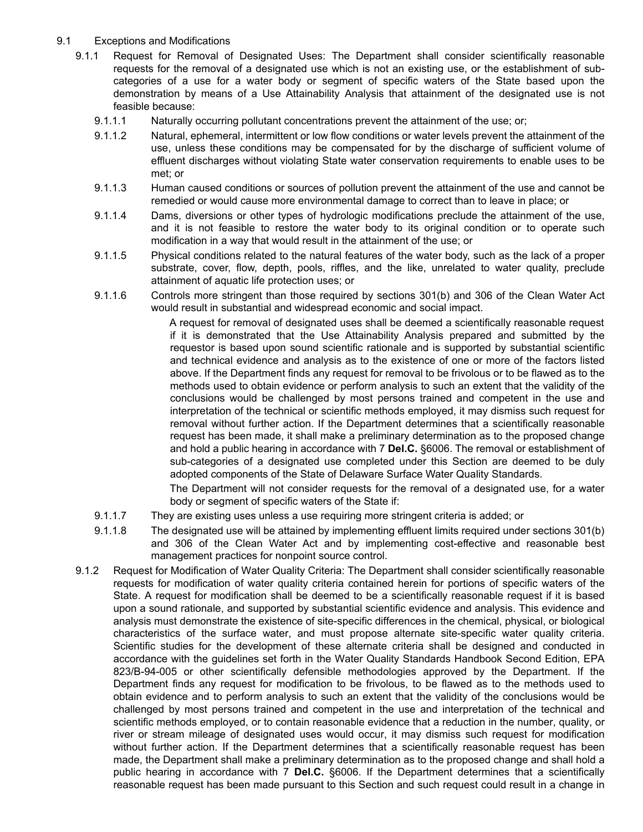## 9.1 Exceptions and Modifications

- 9.1.1 Request for Removal of Designated Uses: The Department shall consider scientifically reasonable requests for the removal of a designated use which is not an existing use, or the establishment of subcategories of a use for a water body or segment of specific waters of the State based upon the demonstration by means of a Use Attainability Analysis that attainment of the designated use is not feasible because:
	- 9.1.1.1 Naturally occurring pollutant concentrations prevent the attainment of the use; or;
	- 9.1.1.2 Natural, ephemeral, intermittent or low flow conditions or water levels prevent the attainment of the use, unless these conditions may be compensated for by the discharge of sufficient volume of effluent discharges without violating State water conservation requirements to enable uses to be met; or
	- 9.1.1.3 Human caused conditions or sources of pollution prevent the attainment of the use and cannot be remedied or would cause more environmental damage to correct than to leave in place; or
	- 9.1.1.4 Dams, diversions or other types of hydrologic modifications preclude the attainment of the use, and it is not feasible to restore the water body to its original condition or to operate such modification in a way that would result in the attainment of the use; or
	- 9.1.1.5 Physical conditions related to the natural features of the water body, such as the lack of a proper substrate, cover, flow, depth, pools, riffles, and the like, unrelated to water quality, preclude attainment of aquatic life protection uses; or
	- 9.1.1.6 Controls more stringent than those required by sections 301(b) and 306 of the Clean Water Act would result in substantial and widespread economic and social impact.

A request for removal of designated uses shall be deemed a scientifically reasonable request if it is demonstrated that the Use Attainability Analysis prepared and submitted by the requestor is based upon sound scientific rationale and is supported by substantial scientific and technical evidence and analysis as to the existence of one or more of the factors listed above. If the Department finds any request for removal to be frivolous or to be flawed as to the methods used to obtain evidence or perform analysis to such an extent that the validity of the conclusions would be challenged by most persons trained and competent in the use and interpretation of the technical or scientific methods employed, it may dismiss such request for removal without further action. If the Department determines that a scientifically reasonable request has been made, it shall make a preliminary determination as to the proposed change and hold a public hearing in accordance with 7 **Del.C.** §6006. The removal or establishment of sub-categories of a designated use completed under this Section are deemed to be duly adopted components of the State of Delaware Surface Water Quality Standards.

The Department will not consider requests for the removal of a designated use, for a water body or segment of specific waters of the State if:

- 9.1.1.7 They are existing uses unless a use requiring more stringent criteria is added; or
- 9.1.1.8 The designated use will be attained by implementing effluent limits required under sections 301(b) and 306 of the Clean Water Act and by implementing cost-effective and reasonable best management practices for nonpoint source control.
- 9.1.2 Request for Modification of Water Quality Criteria: The Department shall consider scientifically reasonable requests for modification of water quality criteria contained herein for portions of specific waters of the State. A request for modification shall be deemed to be a scientifically reasonable request if it is based upon a sound rationale, and supported by substantial scientific evidence and analysis. This evidence and analysis must demonstrate the existence of site-specific differences in the chemical, physical, or biological characteristics of the surface water, and must propose alternate site-specific water quality criteria. Scientific studies for the development of these alternate criteria shall be designed and conducted in accordance with the guidelines set forth in the Water Quality Standards Handbook Second Edition, EPA 823/B-94-005 or other scientifically defensible methodologies approved by the Department. If the Department finds any request for modification to be frivolous, to be flawed as to the methods used to obtain evidence and to perform analysis to such an extent that the validity of the conclusions would be challenged by most persons trained and competent in the use and interpretation of the technical and scientific methods employed, or to contain reasonable evidence that a reduction in the number, quality, or river or stream mileage of designated uses would occur, it may dismiss such request for modification without further action. If the Department determines that a scientifically reasonable request has been made, the Department shall make a preliminary determination as to the proposed change and shall hold a public hearing in accordance with 7 **Del.C.** §6006. If the Department determines that a scientifically reasonable request has been made pursuant to this Section and such request could result in a change in